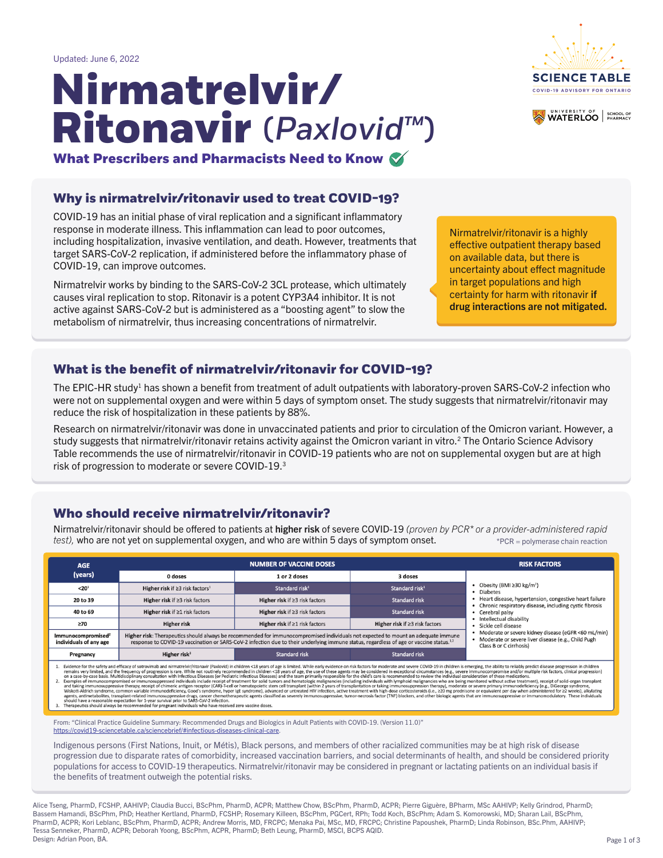Alice Tseng, PharmD, FCSHP, AAHIVP; Claudia Bucci, BScPhm, PharmD, ACPR; Matthew Chow, BScPhm, PharmD, ACPR; Pierre Giguère, BPharm, MSc AAHIVP; Kelly Grindrod, PharmD; Bassem Hamandi, BScPhm, PhD; Heather Kertland, PharmD, FCSHP; Rosemary Killeen, BScPhm, PGCert, RPh; Todd Koch, BScPhm; Adam S. Komorowski, MD; Sharan Lail, BScPhm, PharmD, ACPR; Kori Leblanc, BScPhm, PharmD, ACPR; Andrew Morris, MD, FRCPC; Menaka Pai, MSc, MD, FRCPC; Christine Papoushek, PharmD; Linda Robinson, BSc.Phm, AAHIVP; Tessa Senneker, PharmD, ACPR; Deborah Yoong, BScPhm, ACPR, PharmD; Beth Leung, PharmD, MSCI, BCPS AQID. Design: Adrian Poon, BA.

### **Who should receive nirmatrelvir/ritonavir?**

# (*PaxlovidTM*) **Nirmatrelvir/ Ritonavir**





Updated: June 6, 2022

**What Prescribers and Pharmacists Need to Know**

### **Why is nirmatrelvir/ritonavir used to treat COVID-19?**

The EPIC-HR study<sup>1</sup> has shown a benefit from treatment of adult outpatients with laboratory-proven SARS-CoV-2 infection who were not on supplemental oxygen and were within 5 days of symptom onset. The study suggests that nirmatrelvir/ritonavir may reduce the risk of hospitalization in these patients by 88%.

COVID-19 has an initial phase of viral replication and a significant inflammatory response in moderate illness. This inflammation can lead to poor outcomes, including hospitalization, invasive ventilation, and death. However, treatments that target SARS-CoV-2 replication, if administered before the inflammatory phase of COVID-19, can improve outcomes.

Nirmatrelvir/ritonavir should be offered to patients at higher risk of severe COVID-19 (proven by PCR<sup>\*</sup> or a provider-administered rapid *test),* who are not yet on supplemental oxygen, and who are within 5 days of symptom onset. \*PCR = polymerase chain reaction

| <b>AGE</b>                                                                                                                                                                                                                                                                                                                                                                                                                                                                                                                                                                                                                                                                                                                                                                                                                                                                                                                                                                                                                                                                                                                                                                                                                                                                                                                                                                                                                                                                                                                                                                                                                                                                                                                                                                                                                                       |                                                                                                                                                                                                                                                                                          | <b>NUMBER OF VACCINE DOSES</b>       |                                                                                                                                          | <b>RISK FACTORS</b>                                                                                                 |
|--------------------------------------------------------------------------------------------------------------------------------------------------------------------------------------------------------------------------------------------------------------------------------------------------------------------------------------------------------------------------------------------------------------------------------------------------------------------------------------------------------------------------------------------------------------------------------------------------------------------------------------------------------------------------------------------------------------------------------------------------------------------------------------------------------------------------------------------------------------------------------------------------------------------------------------------------------------------------------------------------------------------------------------------------------------------------------------------------------------------------------------------------------------------------------------------------------------------------------------------------------------------------------------------------------------------------------------------------------------------------------------------------------------------------------------------------------------------------------------------------------------------------------------------------------------------------------------------------------------------------------------------------------------------------------------------------------------------------------------------------------------------------------------------------------------------------------------------------|------------------------------------------------------------------------------------------------------------------------------------------------------------------------------------------------------------------------------------------------------------------------------------------|--------------------------------------|------------------------------------------------------------------------------------------------------------------------------------------|---------------------------------------------------------------------------------------------------------------------|
| (years)                                                                                                                                                                                                                                                                                                                                                                                                                                                                                                                                                                                                                                                                                                                                                                                                                                                                                                                                                                                                                                                                                                                                                                                                                                                                                                                                                                                                                                                                                                                                                                                                                                                                                                                                                                                                                                          | 0 doses                                                                                                                                                                                                                                                                                  | 1 or 2 doses                         | 3 doses                                                                                                                                  |                                                                                                                     |
| < 20 <sup>1</sup>                                                                                                                                                                                                                                                                                                                                                                                                                                                                                                                                                                                                                                                                                                                                                                                                                                                                                                                                                                                                                                                                                                                                                                                                                                                                                                                                                                                                                                                                                                                                                                                                                                                                                                                                                                                                                                | Higher risk if $\geq$ 3 risk factors <sup>1</sup>                                                                                                                                                                                                                                        | Standard risk <sup>1</sup>           | Standard risk <sup>1</sup>                                                                                                               | • Obesity (BMI $\geq$ 30 kg/m <sup>2</sup> )<br>• Diabetes                                                          |
| 20 to 39                                                                                                                                                                                                                                                                                                                                                                                                                                                                                                                                                                                                                                                                                                                                                                                                                                                                                                                                                                                                                                                                                                                                                                                                                                                                                                                                                                                                                                                                                                                                                                                                                                                                                                                                                                                                                                         | Higher risk if $\geq$ 3 risk factors                                                                                                                                                                                                                                                     | Higher risk if $\geq$ 3 risk factors | <b>Standard risk</b>                                                                                                                     | • Heart disease, hypertension, congestive heart failure<br>• Chronic respiratory disease, including cystic fibrosis |
| 40 to 69                                                                                                                                                                                                                                                                                                                                                                                                                                                                                                                                                                                                                                                                                                                                                                                                                                                                                                                                                                                                                                                                                                                                                                                                                                                                                                                                                                                                                                                                                                                                                                                                                                                                                                                                                                                                                                         | Higher risk if $\geq 1$ risk factors                                                                                                                                                                                                                                                     | Higher risk if $\geq$ 3 risk factors | <b>Standard risk</b>                                                                                                                     | • Cerebral palsy                                                                                                    |
| ≥70                                                                                                                                                                                                                                                                                                                                                                                                                                                                                                                                                                                                                                                                                                                                                                                                                                                                                                                                                                                                                                                                                                                                                                                                                                                                                                                                                                                                                                                                                                                                                                                                                                                                                                                                                                                                                                              | <b>Higher risk</b>                                                                                                                                                                                                                                                                       | Higher risk if $\geq 1$ risk factors | Higher risk if $\geq$ 3 risk factors                                                                                                     | • Intellectual disability<br>· Sickle cell disease                                                                  |
| Immunocompromised <sup>2</sup><br>individuals of any age                                                                                                                                                                                                                                                                                                                                                                                                                                                                                                                                                                                                                                                                                                                                                                                                                                                                                                                                                                                                                                                                                                                                                                                                                                                                                                                                                                                                                                                                                                                                                                                                                                                                                                                                                                                         | Higher risk: Therapeutics should always be recommended for immunocompromised individuals not expected to mount an adequate immune<br>response to COVID-19 vaccination or SARS-CoV-2 infection due to their underlying immune status, regardless of age or vaccine status. <sup>1,2</sup> |                                      | • Moderate or severe kidney disease (eGFR <60 mL/min)<br>• Moderate or severe liver disease (e.g., Child Pugh<br>Class B or C cirrhosis) |                                                                                                                     |
| Pregnancy                                                                                                                                                                                                                                                                                                                                                                                                                                                                                                                                                                                                                                                                                                                                                                                                                                                                                                                                                                                                                                                                                                                                                                                                                                                                                                                                                                                                                                                                                                                                                                                                                                                                                                                                                                                                                                        | Higher risk <sup>3</sup>                                                                                                                                                                                                                                                                 | <b>Standard risk</b>                 | <b>Standard risk</b>                                                                                                                     |                                                                                                                     |
| Evidence for the safety and efficacy of sotrovimab and nirmatrelvir/ritonavir (Paxlovid) in children <18 years of age is limited. While early evidence on risk factors for moderate and severe COVID-19 in children is emergin<br>remains very limited, and the frequency of progression is rare. While not routinely recommended in children <18 years of age, the use of these agents may be considered in exceptional circumstances (e.g., severe immunocompr<br>on a case-by-case basis. Multidisciplinary consultation with Infectious Diseases (or Pediatric Infectious Diseases) and the team primarily responsible for the child's care is recommended to review the individual considerat<br>Examples of immunocompromised or immunosuppressed individuals include receipt of treatment for solid tumors and hematologic malignancies (including individuals with lymphoid malignancies who are being monitored without act<br>and taking immunosuppressive therapy, receipt of chimeric antigen receptor (CAR)-T-cell or hematopoietic stem cell transplant (within 2 years of transplantation or taking immunosuppression therapy), moderate or severe prim<br>Wiskott-Aldrich syndrome, common variable immunodeficiency, Good's syndrome, hyper IgE syndrome), advanced or untreated HIV infection, active treatment with high-dose corticosteroids (i.e., ≥20 mg prednisone or equivalent<br>agents, antimetabolites, transplant-related immunosuppressive drugs, cancer chemotherapeutic agents classified as severely immunosuppressive, tumor-necrosis factor (TNF) blockers, and other biologic agents that are immunos<br>should have a reasonable expectation for 1-year survival prior to SARS-CoV-2 infection.<br>Therapeutics should always be recommended for pregnant individuals who have received zero vaccine doses. |                                                                                                                                                                                                                                                                                          |                                      |                                                                                                                                          |                                                                                                                     |

Nirmatrelvir works by binding to the SARS-CoV-2 3CL protease, which ultimately causes viral replication to stop. Ritonavir is a potent CYP3A4 inhibitor. It is not active against SARS-CoV-2 but is administered as a "boosting agent" to slow the metabolism of nirmatrelvir, thus increasing concentrations of nirmatrelvir.

### **What is the benefit of nirmatrelvir/ritonavir for COVID-19?**

Research on nirmatrelvir/ritonavir was done in unvaccinated patients and prior to circulation of the Omicron variant. However, a study suggests that nirmatrelvir/ritonavir retains activity against the Omicron variant in vitro.<sup>2</sup> The Ontario Science Advisory Table recommends the use of nirmatrelvir/ritonavir in COVID-19 patients who are not on supplemental oxygen but are at high risk of progression to moderate or severe COVID-19.3

Nirmatrelvir/ritonavir is a highly effective outpatient therapy based on available data, but there is uncertainty about effect magnitude in target populations and high certainty for harm with ritonavir if drug interactions are not mitigated.

Indigenous persons (First Nations, Inuit, or Métis), Black persons, and members of other racialized communities may be at high risk of disease progression due to disparate rates of comorbidity, increased vaccination barriers, and social determinants of health, and should be considered priority populations for access to COVID-19 therapeutics. Nirmatrelvir/ritonavir may be considered in pregnant or lactating patients on an individual basis if the benefits of treatment outweigh the potential risks.

From: "Clinical Practice Guideline Summary: Recommended Drugs and Biologics in Adult Patients with COVID-19. (Version 11.0)" [https://covid19-sciencetable.ca/sciencebrief/#infectious-diseases-clinical-care.](https://covid19-sciencetable.ca/sciencebrief/#infectious-diseases-clinical-care)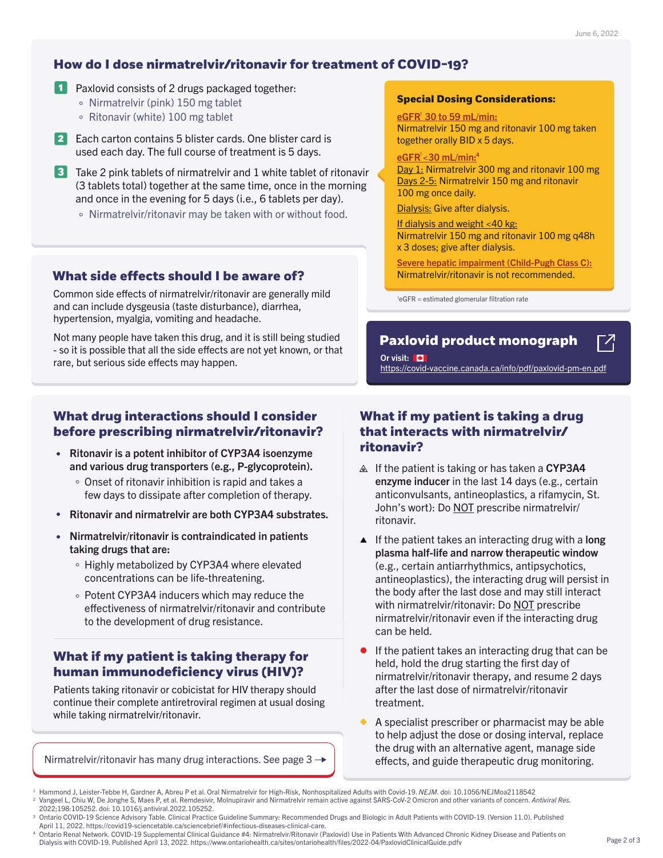- **1** Paxlovid consists of 2 drugs packaged together:
	- $\circ$  Nirmatrelvir (pink) 150 mg tablet
	- $\circ$  Ritonavir (white) 100 mg tablet
- **2** Each carton contains 5 blister cards. One blister card is used each day. The full course of treatment is 5 days.
- **3** Take 2 pink tablets of nirmatrelvir and 1 white tablet of ritonavir (3 tablets total) together at the same time, once in the morning and once in the evening for 5 days (i.e., 6 tablets per day).
	- Nirmatrelvir/ritonavir may be taken with or without food.

### **How do I dose nirmatrelvir/ritonavir for treatment of COVID-19?**

### **What drug interactions should I consider before prescribing nirmatrelvir/ritonavir?**

## **What if my patient is taking a drug that interacts with nirmatrelvir/**

Day 1: Nirmatrelvir 300 mg and ritonavir 100 mg Days 2-5: Nirmatrelvir 150 mg and ritonavir 100 mg once daily.

- $\triangle$  If the patient is taking or has taken a CYP3A4 enzyme inducer in the last 14 days (e.g., certain anticonvulsants, antineoplastics, a rifamycin, St. John's wort): Do NOT prescribe nirmatrelvir/ ritonavir.
- few days to dissipate after completion of therapy.
- Ritonavir and nirmatrelvir are both CYP3A4 substrates.  $\bullet$
- Nirmatrelvir/ritonavir is contraindicated in patients  $\bullet$ taking drugs that are:
	- Highly metabolized by CYP3A4 where elevated concentrations can be life-threatening.
	- Potent CYP3A4 inducers which may reduce the effectiveness of nirmatrelvir/ritonavir and contribute to the development of drug resistance.
- **ritonavir is a potent inhibitor of CYP3A4 isoenzyme <b>ritonavir?**  $\bullet$ and various drug transporters (e.g., P-glycoprotein).
	- Onset of ritonavir inhibition is rapid and takes a

Common side effects of nirmatrelvir/ritonavir are generally mild and can include dysgeusia (taste disturbance), diarrhea, hypertension, myalgia, vomiting and headache.

Not many people have taken this drug, and it is still being studied - so it is possible that all the side effects are not yet known, or that rare, but serious side effects may happen.

Nirmatrelvir 150 mg and ritonavir 100 mg taken together orally BID x 5 days.

#### <u>eGFR < 30 mL/min: 4</u>

Or visit: **W** https://covid-vaccine.canada.ca/info/pdf/paxlovid-pm-en.pdf

Dialysis: Give after dialysis.

If dialysis and weight <40 kg: Nirmatrelvir 150 mg and ritonavir 100 mg q48h x 3 doses; give after dialysis.

Severe hepatic impairment (Child-Pugh Class C): Nirmatrelvir/ritonavir is not recommended.

 $\mathbf{F}$ eGFR = estimated glomerular filtration rate

#### **Special Dosing Considerations:**

### <u>eGFR<sup>†</sup> 30 to 59 mL/min:</u>

<sup>4</sup> Ontario Renal Network. COVID-19 Supplemental Clinical Guidance #4: Nirmatrelvir/Ritonavir (Paxlovid) Use in Patients With Advanced Chronic Kidney Disease and Patients on Dialysis with COVID-19. Published April 13, 2022. https://www.ontariohealth.ca/sites/ontariohealth/files/2022-04/PaxlovidClinicalGuide.pdfv

### **What if my patient is taking therapy for human immunodeficiency virus (HIV)?**

Patients taking ritonavir or cobicistat for HIV therapy should continue their complete antiretroviral regimen at usual dosing while taking nirmatrelvir/ritonavir.

Nirmatrelvir/ritonavir has many drug interactions. See page  $3 \rightarrow$ 

- $\blacktriangle$  If the patient takes an interacting drug with a long plasma half-life and narrow therapeutic window (e.g., certain antiarrhythmics, antipsychotics, antineoplastics), the interacting drug will persist in the body after the last dose and may still interact with nirmatrelvir/ritonavir: Do NOT prescribe nirmatrelvir/ritonavir even if the interacting drug can be held.
- If the patient takes an interacting drug that can be held, hold the drug starting the first day of nirmatrelvir/ritonavir therapy, and resume 2 days after the last dose of nirmatrelvir/ritonavir treatment.
- A specialist prescriber or pharmacist may be able to help adjust the dose or dosing interval, replace the drug with an alternative agent, manage side effects, and guide therapeutic drug monitoring.

### **What side effects should I be aware of?**

### **[Paxlovid product monograph](https://covid-vaccine.canada.ca/info/pdf/paxlovid-pm-en.pdf)**

 $\Gamma$ <sup>7</sup>

<sup>&</sup>lt;sup>2</sup> [Vangeel L, Chiu W, De Jonghe S, Maes P, et al. Remdesivir, Molnupiravir and Nirmatrelvir remain active against SARS-CoV-2 Omicron and other variants of concern.](https://pubmed.ncbi.nlm.nih.gov/35085683/) Antiviral Res. 2022;198:105252. doi: 10.1016/j.antiviral.2022.105252.

<sup>&</sup>lt;sup>3</sup> Ontario COVID-19 Science Advisory Table. Clinical Practice Guideline Summary: Recommended Drugs and Biologic in Adult Patients with COVID-19. (Version 11.0). Published April 11, 2022. https://covid19-sciencetable.ca/sciencebrief/#infectious-diseases-clinical-care.

<sup>&</sup>lt;sup>1</sup> [Hammond J, Leister-Tebbe H, Gardner A, Abreu P et al. Oral Nirmatrelvir for High-Risk, Nonhospitalized Adults with Covid-19.](https://www.nejm.org/doi/full/10.1056/NEJMoa2118542) NEJM. doi: 10.1056/NEJMoa2118542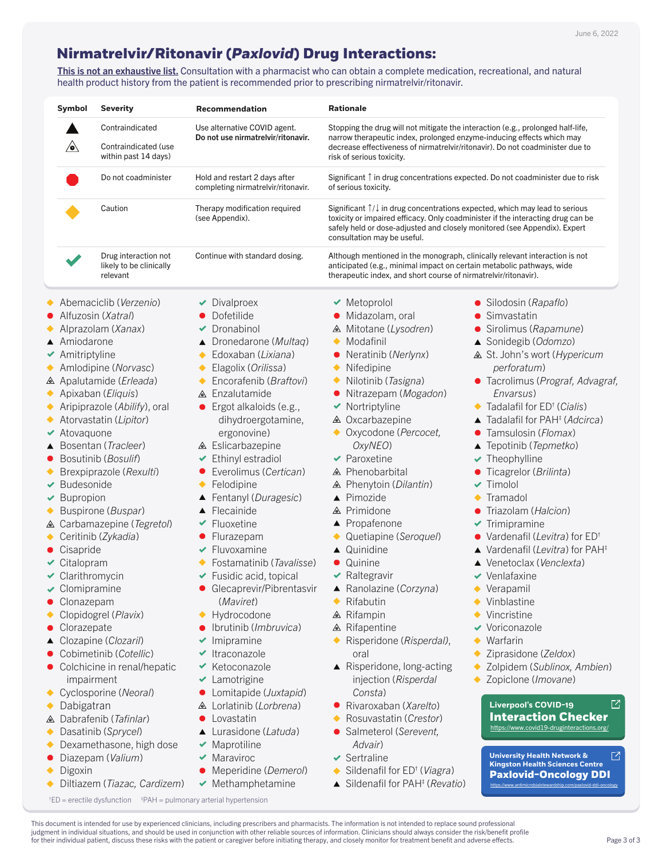This is not an exhaustive list. Consultation with a pharmacist who can obtain a complete medication, recreational, and natural health product history from the patient is recommended prior to prescribing nirmatrelvir/ritonavir.

### <span id="page-2-0"></span>**Nirmatrelvir/Ritonavir (***Paxlovid***) Drug Interactions:**

† ED = erectile dysfunction ‡ PAH = pulmonary arterial hypertension

- 
- $\vee$  Bupropion
- Buspirone (*Buspar*)
- Carbamazepine (*Tegretol*)
- Ceritinib (*Zykadia*)  $\blacklozenge$
- **Cisapride**
- Citalopram
- Clarithromycin
- $\triangleleft$  Clomipramine
- **Clonazepam**
- Clopidogrel (*Plavix*)
- **Clorazepate**
- Clozapine (*Clozaril*)
- Cobimetinib (*Cotellic*)
- Colchicine in renal/hepatic impairment
- Cyclosporine (*Neoral*)  $\blacklozenge$
- Dabigatran  $\blacklozenge$
- Dabrafenib (*Tafinlar*)
- Dasatinib (*Sprycel*)  $\blacklozenge$
- Dexamethasone, high dose  $\blacklozenge$
- Diazepam (*Valium*)
- Digoxin ◆
- Diltiazem (*Tiazac, Cardizem*)
- 
- Fentanyl (*Duragesic*)
- ▲ Flecainide
- $\blacktriangleright$  Fluoxetine
- Flurazepam
- $\blacktriangleright$  Fluvoxamine
- Fostamatinib (*Tavalisse*)
- $\blacktriangleright$  Fusidic acid, topical
- **Glecaprevir/Pibrentasvir** (*Maviret*)
- ◆ Hydrocodone
- Ibrutinib (*Imbruvica*)
- $\blacktriangleright$  Imipramine
- $\blacktriangleright$  Itraconazole
- $\blacktriangleright$  Ketoconazole
- ◆ Lamotrigine
- Lomitapide (*Juxtapid*)
- Lorlatinib (*Lorbrena*)
- Lovastatin  $\bullet$
- Lurasidone (*Latuda*)
- $\blacktriangleright$  Maprotiline
- $\blacktriangleright$  Maraviroc
- Meperidine (*Demerol*)
- $\blacktriangleright$  Methamphetamine
- 
- ▲ Pimozide
- ▲ Primidone
- ▲ Propafenone
- Quetiapine (*Seroquel*)
- ▲ Quinidine
- **Quinine**
- $\blacktriangleright$  Raltegravir
- Ranolazine (*Corzyna*)
- Rifabutin
- $\triangle$  Rifampin
- ▲ Rifapentine
- Risperidone (*Risperdal)*, oral
- ▲ Risperidone, long-acting injection (*Risperdal Consta*)
- Rivaroxaban (*Xarelto*)
- Rosuvastatin (*Crestor*)
- Salmeterol (*Serevent, Advair*)
- $\blacktriangleright$  Sertraline
- Sildenafil for ED† (*Viagra*)
- Sildenafil for PAH‡ (*Revatio*)
- 
- $\blacklozenge$  Tramadol
- Triazolam (*Halcion*)
- $\blacktriangleright$  Trimipramine
- Vardenafil (*Levitra*) for ED†
- ▲ Vardenafil (*Levitra*) for PAH<sup>‡</sup>
- Venetoclax (*Venclexta*)
- $\vee$  Venlafaxine
- Verapamil
- Vinblastine
- Vincristine
- ◆ Voriconazole
- Warfarin
- Ziprasidone (*Zeldox*)
- Zolpidem (*Sublinox, Ambien*)
- Zopiclone (*Imovane*)

This document is intended for use by experienced clinicians, including prescribers and pharmacists. The information is not intended to replace sound professional judgment in individual situations, and should be used in conjunction with other reliable sources of information. Clinicians should always consider the risk/benefit profile for their individual patient, discuss these risks with the patient or caregiver before initiating therapy, and closely monitor for treatment benefit and adverse effects.

| <b>Symbol</b>                       | <b>Severity</b>                                             | <b>Recommendation</b>                                               | <b>Rationale</b>                                                                                                                         |                                                                                                                                                                                 |
|-------------------------------------|-------------------------------------------------------------|---------------------------------------------------------------------|------------------------------------------------------------------------------------------------------------------------------------------|---------------------------------------------------------------------------------------------------------------------------------------------------------------------------------|
|                                     | Contraindicated                                             | Use alternative COVID agent.                                        |                                                                                                                                          | Stopping the drug will not mitigate the interaction (e.g., prolonged half-life,                                                                                                 |
| $\sqrt{\bullet}$                    | <b>Contraindicated (use</b><br>within past 14 days)         | Do not use nirmatrelvir/ritonavir.                                  | narrow therapeutic index, prolonged enzyme-inducing effects which may<br>risk of serious toxicity.                                       | decrease effectiveness of nirmatrelyir/ritonavir). Do not coadminister due to                                                                                                   |
|                                     | Do not coadminister                                         | Hold and restart 2 days after<br>completing nirmatrelvir/ritonavir. | of serious toxicity.                                                                                                                     | Significant $\uparrow$ in drug concentrations expected. Do not coadminister due to risk                                                                                         |
|                                     | Caution                                                     | Therapy modification required<br>(see Appendix).                    | safely held or dose-adjusted and closely monitored (see Appendix). Expert<br>consultation may be useful.                                 | Significant $\uparrow/\downarrow$ in drug concentrations expected, which may lead to serious<br>toxicity or impaired efficacy. Only coadminister if the interacting drug can be |
|                                     | Drug interaction not<br>likely to be clinically<br>relevant | Continue with standard dosing.                                      | anticipated (e.g., minimal impact on certain metabolic pathways, wide<br>therapeutic index, and short course of nirmatrelvir/ritonavir). | Although mentioned in the monograph, clinically relevant interaction is not                                                                                                     |
|                                     | Abemaciclib (Verzenio)                                      | Divalproex                                                          | $\blacktriangleright$ Metoprolol                                                                                                         | • Silodosin (Rapaflo)                                                                                                                                                           |
| • Alfuzosin ( <i>Xatral</i> )       |                                                             | Dofetilide                                                          | • Midazolam, oral                                                                                                                        | • Simvastatin                                                                                                                                                                   |
|                                     | Alprazolam ( <i>Xanax</i> )                                 | Dronabinol                                                          | △ Mitotane (Lysodren)                                                                                                                    | • Sirolimus ( <i>Rapamune</i> )                                                                                                                                                 |
| ▲ Amiodarone                        |                                                             | Dronedarone (Multaq)                                                | $\blacklozenge$ Modafinil                                                                                                                | ▲ Sonidegib (Odomzo)                                                                                                                                                            |
| $\blacktriangleright$ Amitriptyline |                                                             | Edoxaban ( <i>Lixiana</i> )                                         | • Neratinib ( <i>Nerlynx</i> )                                                                                                           | △ St. John's wort ( <i>Hypericum</i>                                                                                                                                            |
|                                     | Amlodipine (Norvasc)                                        | Elagolix (Orilissa)<br>$\blacklozenge$                              | $\blacklozenge$ Nifedipine                                                                                                               | <i>perforatum</i> )                                                                                                                                                             |
|                                     | △ Apalutamide (Erleada)                                     | Encorafenib ( <i>Braftovi</i> )                                     | $\blacklozenge$ Nilotinib ( <i>Tasigna</i> )                                                                                             | • Tacrolimus (Prograf, Advagraf,                                                                                                                                                |
|                                     | Apixaban ( <i>Eliquis</i> )                                 | △ Enzalutamide                                                      | • Nitrazepam ( <i>Mogadon</i> )                                                                                                          | Envarsus)                                                                                                                                                                       |
|                                     | Aripiprazole (Abilify), oral                                | Ergot alkaloids (e.g.,                                              | $\blacktriangleright$ Nortriptyline                                                                                                      | $\blacklozenge$ Tadalafil for ED <sup>†</sup> ( <i>Cialis</i> )                                                                                                                 |
|                                     | Atorvastatin (Lipitor)                                      | dihydroergotamine,                                                  | <b>△</b> Oxcarbazepine                                                                                                                   | $\blacktriangle$ Tadalafil for PAH <sup><math>\ddagger</math></sup> ( <i>Adcirca</i> )                                                                                          |
| $\blacktriangleright$ Atovaguone    |                                                             | ergonovine)                                                         | ◆ Oxycodone ( <i>Percocet</i> ,                                                                                                          | • Tamsulosin ( <i>Flomax</i> )                                                                                                                                                  |
|                                     | ▲ Bosentan ( <i>Tracleer</i> )                              | △ Eslicarbazepine                                                   | OxyNEO)                                                                                                                                  | ▲ Tepotinib (Tepmetko)                                                                                                                                                          |
|                                     | • Bosutinib ( <i>Bosulif</i> )                              | Ethinyl estradiol                                                   | $\blacktriangleright$ Paroxetine                                                                                                         | $\blacktriangleright$ Theophylline                                                                                                                                              |
|                                     | Brexpiprazole (Rexulti)                                     | Everolimus (Certican)                                               | <b>△</b> Phenobarbital                                                                                                                   | • Ticagrelor ( <i>Brilinta</i> )                                                                                                                                                |
| $\vee$ Budesonide                   |                                                             | Felodipine                                                          | <b>△</b> Phenytoin ( <i>Dilantin</i> )                                                                                                   | $\blacktriangledown$ Timolol                                                                                                                                                    |

#### $\Box$ **Liverpool's COVID-19 [Interaction Checker](https://www.covid19-druginteractions.org/)**

 $\Box$ **University Health Network & Kingston Health Sciences Centre [Paxlovid-Oncology DDI](https://www.antimicrobialstewardship.com/paxlovid-ddi-oncology)**

https://www.covid19-druginteractions.org/

https://www.antimicrobialstewardship.com/paxlovid-ddi-oncology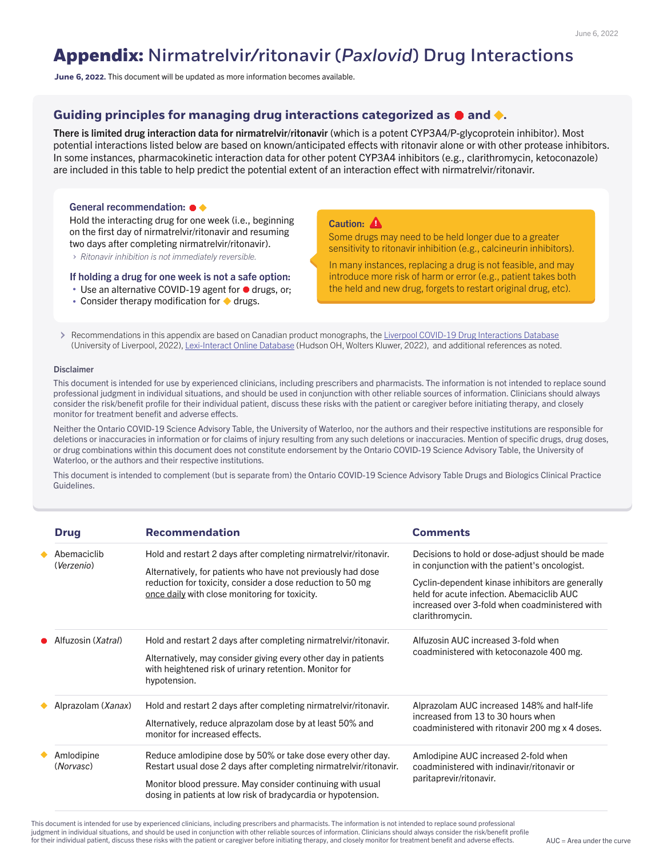## **Appendix:** Nirmatrelvir/ritonavir (*Paxlovid*) Drug Interactions

| <b>Drug</b>               | <b>Recommendation</b>                                                                                                                                                                                                                            | <b>Comments</b>                                                                                                                                                    |
|---------------------------|--------------------------------------------------------------------------------------------------------------------------------------------------------------------------------------------------------------------------------------------------|--------------------------------------------------------------------------------------------------------------------------------------------------------------------|
| Abemaciclib<br>(Verzenio) | Hold and restart 2 days after completing nirmatrelvir/ritonavir.<br>Alternatively, for patients who have not previously had dose<br>reduction for toxicity, consider a dose reduction to 50 mg<br>once daily with close monitoring for toxicity. | Decisions to hold or dose-adjust should be made<br>in conjunction with the patient's oncologist.                                                                   |
|                           |                                                                                                                                                                                                                                                  | Cyclin-dependent kinase inhibitors are generally<br>held for acute infection. Abemaciclib AUC<br>increased over 3-fold when coadministered with<br>clarithromycin. |
| Alfuzosin (Xatral)        | Hold and restart 2 days after completing nirmatrelvir/ritonavir.                                                                                                                                                                                 | Alfuzosin AUC increased 3-fold when                                                                                                                                |
|                           | Alternatively, may consider giving every other day in patients<br>with heightened risk of urinary retention. Monitor for<br>hypotension.                                                                                                         | coadministered with ketoconazole 400 mg.                                                                                                                           |
| Alprazolam (Xanax)        | Hold and restart 2 days after completing nirmatrely intritionavir.                                                                                                                                                                               | Alprazolam AUC increased 148% and half-life                                                                                                                        |
|                           | Alternatively, reduce alprazolam dose by at least 50% and<br>monitor for increased effects.                                                                                                                                                      | increased from 13 to 30 hours when<br>coadministered with ritonavir 200 mg x 4 doses.                                                                              |
| Amlodipine<br>(Norvasc)   | Reduce amlodipine dose by 50% or take dose every other day.<br>Restart usual dose 2 days after completing nirmatrelvir/ritonavir.                                                                                                                | Amlodipine AUC increased 2-fold when<br>coadministered with indinavir/ritonavir or                                                                                 |
|                           | Monitor blood pressure. May consider continuing with usual<br>dosing in patients at low risk of bradycardia or hypotension.                                                                                                                      | paritaprevir/ritonavir.                                                                                                                                            |

There is limited drug interaction data for nirmatrelvir/ritonavir (which is a potent CYP3A4/P-glycoprotein inhibitor). Most potential interactions listed below are based on known/anticipated effects with ritonavir alone or with other protease inhibitors. In some instances, pharmacokinetic interaction data for other potent CYP3A4 inhibitors (e.g., clarithromycin, ketoconazole) are included in this table to help predict the potential extent of an interaction effect with nirmatrelvir/ritonavir.

#### General recommendation:  $\bullet \blacklozenge$

This document is intended for use by experienced clinicians, including prescribers and pharmacists. The information is not intended to replace sound professional judgment in individual situations, and should be used in conjunction with other reliable sources of information. Clinicians should always consider the risk/benefit profile for their individual patient, discuss these risks with the patient or caregiver before initiating therapy, and closely monitor for treatment benefit and adverse effects.

**June 6, 2022.** This document will be updated as more information becomes available.

### Guiding principles for managing drug interactions categorized as  $\bullet$  and  $\bullet$ .

Recommendations in this appendix are based on Canadian product monographs, the [Liverpool COVID-19 Drug Interactions Database](https://www.covid19-druginteractions.org/) (University of Liverpool, 2022), [Lexi-Interact Online Database](http://webstore.lexi.com/Information/Product-Information/Lexi-Interact-Fields) (Hudson OH, Wolters Kluwer, 2022), and additional references as noted.

#### **Disclaimer**

This document is intended for use by experienced clinicians, including prescribers and pharmacists. The information is not intended to replace sound professional judgment in individual situations, and should be used in conjunction with other reliable sources of information. Clinicians should always consider the risk/benefit profile for their individual patient, discuss these risks with the patient or caregiver before initiating therapy, and closely monitor for treatment benefit and adverse effects.

Hold the interacting drug for one week (i.e., beginning on the first day of nirmatrelvir/ritonavir and resuming two days after completing nirmatrelvir/ritonavir).

*Ritonavir inhibition is not immediately reversible.*

Neither the Ontario COVID-19 Science Advisory Table, the University of Waterloo, nor the authors and their respective institutions are responsible for deletions or inaccuracies in information or for claims of injury resulting from any such deletions or inaccuracies. Mention of specific drugs, drug doses, or drug combinations within this document does not constitute endorsement by the Ontario COVID-19 Science Advisory Table, the University of Waterloo, or the authors and their respective institutions.

This document is intended to complement (but is separate from) the Ontario COVID-19 Science Advisory Table Drugs and Biologics Clinical Practice Guidelines.

#### If holding a drug for one week is not a safe option:

- Use an alternative COVID-19 agent for  $\bullet$  drugs, or;
- Consider therapy modification for  $\blacklozenge$  drugs.

#### Caution: **A**

Some drugs may need to be held longer due to a greater sensitivity to ritonavir inhibition (e.g., calcineurin inhibitors).

In many instances, replacing a drug is not feasible, and may introduce more risk of harm or error (e.g., patient takes both the held and new drug, forgets to restart original drug, etc).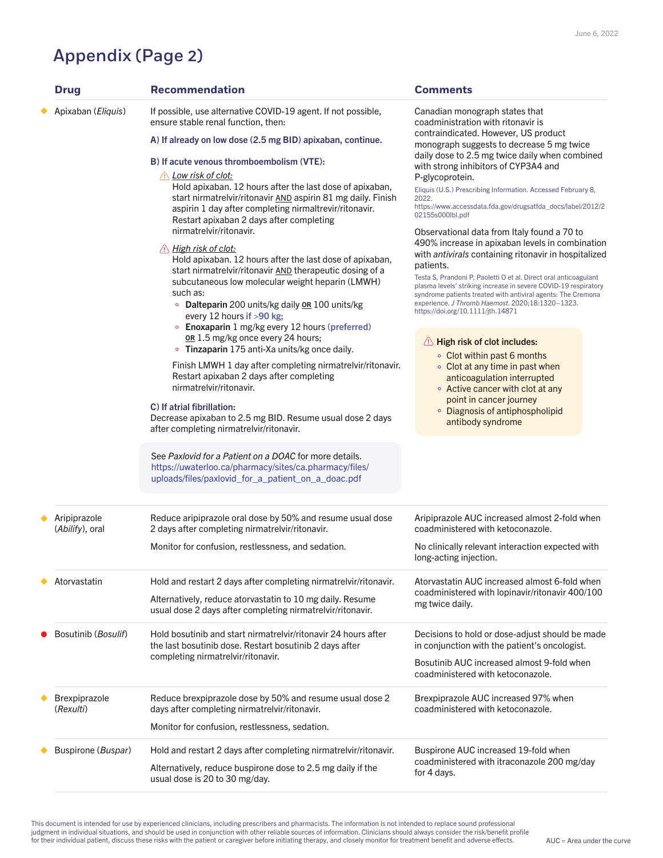## Appendix (Page 2)

|  | Aripiprazole<br>(Abilify), oral    | Reduce aripiprazole oral dose by 50% and resume usual dose<br>2 days after completing nirmatrelvir/ritonavir.             | Aripiprazole AUC increased almost 2-fold when<br>coadministered with ketoconazole.               |
|--|------------------------------------|---------------------------------------------------------------------------------------------------------------------------|--------------------------------------------------------------------------------------------------|
|  |                                    | Monitor for confusion, restlessness, and sedation.                                                                        | No clinically relevant interaction expected with<br>long-acting injection.                       |
|  | Atorvastatin                       | Hold and restart 2 days after completing nirmatrelvir/ritonavir.                                                          | Atorvastatin AUC increased almost 6-fold when<br>coadministered with lopinavir/ritonavir 400/100 |
|  |                                    | Alternatively, reduce atorvastatin to 10 mg daily. Resume<br>usual dose 2 days after completing nirmatrelvir/ritonavir.   | mg twice daily.                                                                                  |
|  | Bosutinib ( <i>Bosulif</i> )       | Hold bosutinib and start nirmatrelvir/ritonavir 24 hours after<br>the last bosutinib dose. Restart bosutinib 2 days after | Decisions to hold or dose-adjust should be made<br>in conjunction with the patient's oncologist. |
|  | completing nirmatrelvir/ritonavir. |                                                                                                                           | Bosutinib AUC increased almost 9-fold when<br>coadministered with ketoconazole.                  |
|  | <b>Brexpiprazole</b><br>(Rexulti)  | Reduce brexpiprazole dose by 50% and resume usual dose 2<br>days after completing nirmatrelvir/ritonavir.                 | Brexpiprazole AUC increased 97% when<br>coadministered with ketoconazole.                        |
|  |                                    | Monitor for confusion, restlessness, sedation.                                                                            |                                                                                                  |
|  | <b>Buspirone (Buspar)</b>          | Hold and restart 2 days after completing nirmatrelvir/ritonavir.                                                          | Buspirone AUC increased 19-fold when                                                             |
|  |                                    | Alternatively, reduce buspirone dose to 2.5 mg daily if the<br>usual dose is 20 to 30 mg/day.                             | coadministered with itraconazole 200 mg/day<br>for 4 days.                                       |

| <b>Drug</b>                 | <b>Recommendation</b>                                                                                                                                                                                                                                                                                                                                                                                                                                                                                                                                                                                                                                                                                                                                                                                                                                                                                                                                                                                                                   | <b>Comments</b>                                                                                                                                                                                                                                                                                                                                                                                                                                                                                                                                                                                                                                                                                                                                                                                                                                                                                                                                                                                              |
|-----------------------------|-----------------------------------------------------------------------------------------------------------------------------------------------------------------------------------------------------------------------------------------------------------------------------------------------------------------------------------------------------------------------------------------------------------------------------------------------------------------------------------------------------------------------------------------------------------------------------------------------------------------------------------------------------------------------------------------------------------------------------------------------------------------------------------------------------------------------------------------------------------------------------------------------------------------------------------------------------------------------------------------------------------------------------------------|--------------------------------------------------------------------------------------------------------------------------------------------------------------------------------------------------------------------------------------------------------------------------------------------------------------------------------------------------------------------------------------------------------------------------------------------------------------------------------------------------------------------------------------------------------------------------------------------------------------------------------------------------------------------------------------------------------------------------------------------------------------------------------------------------------------------------------------------------------------------------------------------------------------------------------------------------------------------------------------------------------------|
| Apixaban ( <i>Eliquis</i> ) | If possible, use alternative COVID-19 agent. If not possible,<br>ensure stable renal function, then:                                                                                                                                                                                                                                                                                                                                                                                                                                                                                                                                                                                                                                                                                                                                                                                                                                                                                                                                    | Canadian monograph states that<br>coadministration with ritonavir is                                                                                                                                                                                                                                                                                                                                                                                                                                                                                                                                                                                                                                                                                                                                                                                                                                                                                                                                         |
|                             | A) If already on low dose (2.5 mg BID) apixaban, continue.                                                                                                                                                                                                                                                                                                                                                                                                                                                                                                                                                                                                                                                                                                                                                                                                                                                                                                                                                                              | contraindicated. However, US product<br>monograph suggests to decrease 5 mg twice                                                                                                                                                                                                                                                                                                                                                                                                                                                                                                                                                                                                                                                                                                                                                                                                                                                                                                                            |
|                             | B) If acute venous thromboembolism (VTE):<br><u>, Low risk of clot:</u><br>Hold apixaban. 12 hours after the last dose of apixaban,<br>start nirmatrelvir/ritonavir AND aspirin 81 mg daily. Finish<br>aspirin 1 day after completing nirmaltrevir/ritonavir.<br>Restart apixaban 2 days after completing<br>nirmatrelvir/ritonavir.<br>$\wedge$ High risk of clot:<br>Hold apixaban. 12 hours after the last dose of apixaban,<br>start nirmatrelvir/ritonavir AND therapeutic dosing of a<br>subcutaneous low molecular weight heparin (LMWH)<br>such as:<br><b>Dalteparin</b> 200 units/kg daily <b>OR</b> 100 units/kg<br>every 12 hours if $>90$ kg;<br>Enoxaparin 1 mg/kg every 12 hours (preferred)<br><b>OR</b> 1.5 mg/kg once every 24 hours;<br>• Tinzaparin 175 anti-Xa units/kg once daily.<br>Finish LMWH 1 day after completing nirmatrelvir/ritonavir.<br>Restart apixaban 2 days after completing<br>nirmatrelvir/ritonavir.<br>C) If atrial fibrillation:<br>Decrease apixaban to 2.5 mg BID. Resume usual dose 2 days | daily dose to 2.5 mg twice daily when combined<br>with strong inhibitors of CYP3A4 and<br>P-glycoprotein.<br>Eliquis (U.S.) Prescribing Information. Accessed February 8,<br>2022.<br>https://www.accessdata.fda.gov/drugsatfda_docs/label/2012/2<br>02155s000lbl.pdf<br>Observational data from Italy found a 70 to<br>490% increase in apixaban levels in combination<br>with <i>antivirals</i> containing ritonavir in hospitalized<br>patients.<br>Testa S, Prandoni P, Paoletti O et al. Direct oral anticoagulant<br>plasma levels' striking increase in severe COVID-19 respiratory<br>syndrome patients treated with antiviral agents: The Cremona<br>experience. J Thromb Haemost. 2020;18:1320-1323.<br>https://doi.org/10.1111/jth.14871<br>A High risk of clot includes:<br>• Clot within past 6 months<br>• Clot at any time in past when<br>anticoagulation interrupted<br>• Active cancer with clot at any<br>point in cancer journey<br>• Diagnosis of antiphospholipid<br>antibody syndrome |
|                             | after completing nirmatrelvir/ritonavir.                                                                                                                                                                                                                                                                                                                                                                                                                                                                                                                                                                                                                                                                                                                                                                                                                                                                                                                                                                                                |                                                                                                                                                                                                                                                                                                                                                                                                                                                                                                                                                                                                                                                                                                                                                                                                                                                                                                                                                                                                              |

This document is intended for use by experienced clinicians, including prescribers and pharmacists. The information is not intended to replace sound professional judgment in individual situations, and should be used in conjunction with other reliable sources of information. Clinicians should always consider the risk/benefit profile for their individual patient, discuss these risks with the patient or caregiver before initiating therapy, and closely monitor for treatment benefit and adverse effects.

See *Paxlovid for a Patient on a DOAC* for more details. [https://uwaterloo.ca/pharmacy/sites/ca.pharmacy/files/](https://uwaterloo.ca/pharmacy/sites/ca.pharmacy/files/uploads/files/paxlovid_for_a_patient_on_a_doac.pdf) uploads/files/paxlovid\_for\_a\_patient\_on\_a\_doac.pdf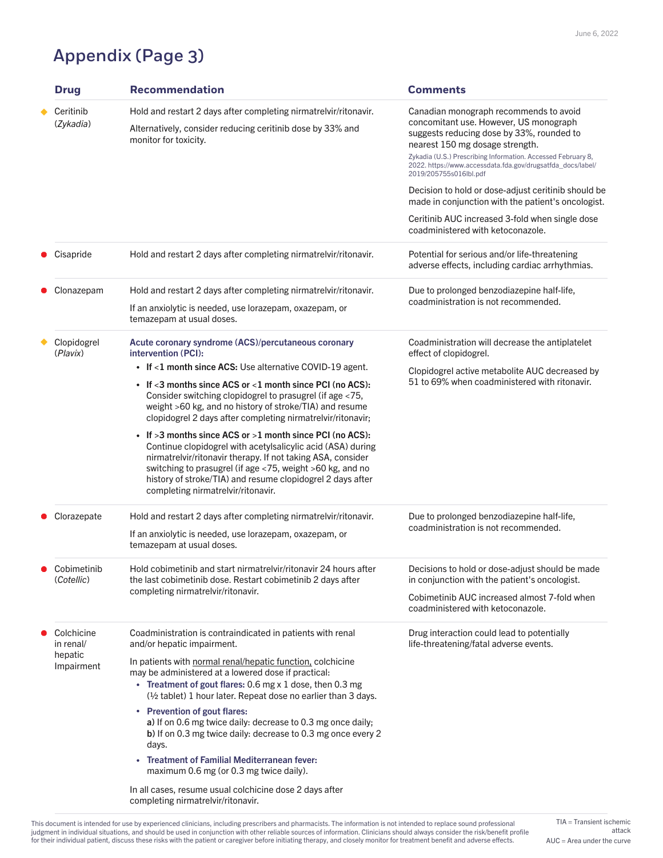## Appendix (Page 3)

| <b>Drug</b>               | <b>Recommendation</b>                                                                                                                                                                                                                                                                                                                                       | <b>Comments</b>                                                                                                                                                  |
|---------------------------|-------------------------------------------------------------------------------------------------------------------------------------------------------------------------------------------------------------------------------------------------------------------------------------------------------------------------------------------------------------|------------------------------------------------------------------------------------------------------------------------------------------------------------------|
| Ceritinib<br>(Zykadia)    | Hold and restart 2 days after completing nirmatrely interional inter-<br>Alternatively, consider reducing ceritinib dose by 33% and<br>monitor for toxicity.                                                                                                                                                                                                | Canadian monograph recommends to avoid<br>concomitant use. However, US monograph<br>suggests reducing dose by 33%, rounded to<br>nearest 150 mg dosage strength. |
|                           |                                                                                                                                                                                                                                                                                                                                                             | Zykadia (U.S.) Prescribing Information. Accessed February 8,<br>2022. https://www.accessdata.fda.gov/drugsatfda_docs/label/<br>2019/205755s016lbl.pdf            |
|                           |                                                                                                                                                                                                                                                                                                                                                             | Decision to hold or dose-adjust ceritinib should be<br>made in conjunction with the patient's oncologist.                                                        |
|                           |                                                                                                                                                                                                                                                                                                                                                             | Ceritinib AUC increased 3-fold when single dose<br>coadministered with ketoconazole.                                                                             |
| Cisapride                 | Hold and restart 2 days after completing nirmatrely interional inter-                                                                                                                                                                                                                                                                                       | Potential for serious and/or life-threatening<br>adverse effects, including cardiac arrhythmias.                                                                 |
| Clonazepam                | Hold and restart 2 days after completing nirmatrelvir/ritonavir.                                                                                                                                                                                                                                                                                            | Due to prolonged benzodiazepine half-life,                                                                                                                       |
|                           | If an anxiolytic is needed, use lorazepam, oxazepam, or<br>temazepam at usual doses.                                                                                                                                                                                                                                                                        | coadministration is not recommended.                                                                                                                             |
| Clopidogrel<br>(Plavix)   | Acute coronary syndrome (ACS)/percutaneous coronary<br>intervention (PCI):                                                                                                                                                                                                                                                                                  | Coadministration will decrease the antiplatelet<br>effect of clopidogrel.                                                                                        |
|                           | • If $<$ 1 month since ACS: Use alternative COVID-19 agent.                                                                                                                                                                                                                                                                                                 | Clopidogrel active metabolite AUC decreased by                                                                                                                   |
|                           | • If $<$ 3 months since ACS or $<$ 1 month since PCI (no ACS):<br>Consider switching clopidogrel to prasugrel (if age <75,<br>weight >60 kg, and no history of stroke/TIA) and resume<br>clopidogrel 2 days after completing nirmatrelvir/ritonavir;                                                                                                        | 51 to 69% when coadministered with ritonavir.                                                                                                                    |
|                           | • If $>3$ months since ACS or $>1$ month since PCI (no ACS):<br>Continue clopidogrel with acetylsalicylic acid (ASA) during<br>nirmatrelvir/ritonavir therapy. If not taking ASA, consider<br>switching to prasugrel (if age <75, weight >60 kg, and no<br>history of stroke/TIA) and resume clopidogrel 2 days after<br>completing nirmatrelvir/ritonavir. |                                                                                                                                                                  |
| Clorazepate               | Hold and restart 2 days after completing nirmatrelvir/ritonavir.                                                                                                                                                                                                                                                                                            | Due to prolonged benzodiazepine half-life,                                                                                                                       |
|                           | If an anxiolytic is needed, use lorazepam, oxazepam, or<br>temazepam at usual doses.                                                                                                                                                                                                                                                                        | coadministration is not recommended.                                                                                                                             |
| Cobimetinib<br>(Cotellic) | Hold cobimetinib and start nirmatrelvir/ritonavir 24 hours after<br>the last cobimetinib dose. Restart cobimetinib 2 days after                                                                                                                                                                                                                             | Decisions to hold or dose-adjust should be made<br>in conjunction with the patient's oncologist.                                                                 |
|                           | completing nirmatrelvir/ritonavir.                                                                                                                                                                                                                                                                                                                          | Cobimetinib AUC increased almost 7-fold when<br>coadministered with ketoconazole.                                                                                |
| Colchicine<br>in renal/   | Coadministration is contraindicated in patients with renal<br>and/or hepatic impairment.                                                                                                                                                                                                                                                                    | Drug interaction could lead to potentially<br>life-threatening/fatal adverse events.                                                                             |
| hepatic<br>Impairment     | In patients with normal renal/hepatic function, colchicine<br>may be administered at a lowered dose if practical.<br><b>Treatment of gout flares: 0.6 mg x 1 dose, then 0.3 mg</b><br>$\bullet$<br>$\frac{1}{2}$ tablet) 1 hour later. Repeat dose no earlier than 3 days.<br>• Prevention of gout flares:                                                  |                                                                                                                                                                  |
|                           | a) If on 0.6 mg twice daily: decrease to 0.3 mg once daily;<br>b) If on 0.3 mg twice daily: decrease to 0.3 mg once every 2<br>days.                                                                                                                                                                                                                        |                                                                                                                                                                  |
|                           | <b>Treatment of Familial Mediterranean fever:</b><br>$\bullet$<br>maximum 0.6 mg (or 0.3 mg twice daily).                                                                                                                                                                                                                                                   |                                                                                                                                                                  |
|                           | In all cases, resume usual colchicine dose 2 days after<br>completing nirmatrelvir/ritonavir.                                                                                                                                                                                                                                                               |                                                                                                                                                                  |

 $AUC = Area$  under the curve TIA = Transient ischemic attack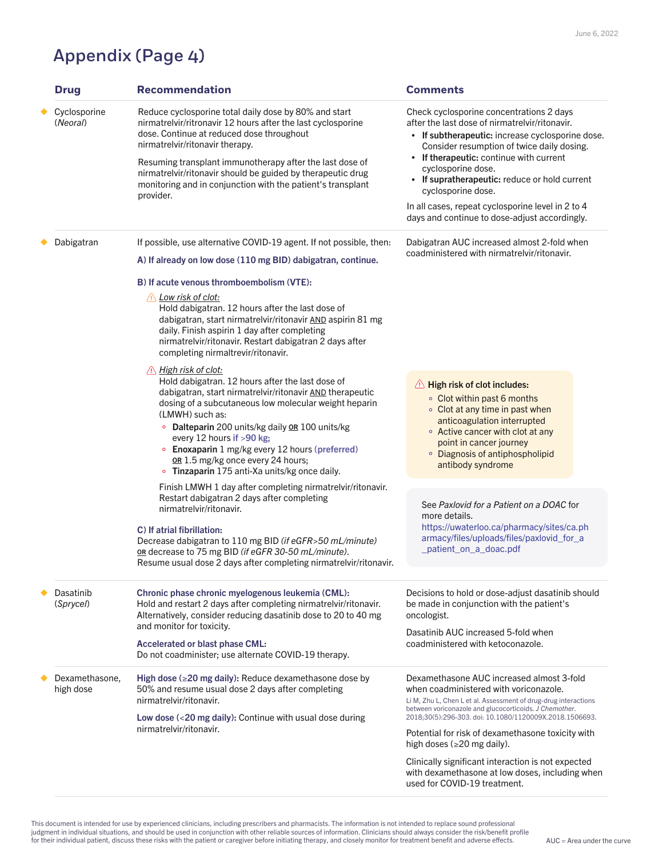## Appendix (Page 4)

| <b>Drug</b>                   | <b>Recommendation</b>                                                                                                                                                                                                                                                                                                                                                                                                                                                                                         | <b>Comments</b>                                                                                                                                                                                                                                                                                                                                                                                                                        |
|-------------------------------|---------------------------------------------------------------------------------------------------------------------------------------------------------------------------------------------------------------------------------------------------------------------------------------------------------------------------------------------------------------------------------------------------------------------------------------------------------------------------------------------------------------|----------------------------------------------------------------------------------------------------------------------------------------------------------------------------------------------------------------------------------------------------------------------------------------------------------------------------------------------------------------------------------------------------------------------------------------|
| Cyclosporine<br>(Neoral)      | Reduce cyclosporine total daily dose by 80% and start<br>nirmatrelvir/ritronavir 12 hours after the last cyclosporine<br>dose. Continue at reduced dose throughout<br>nirmatrelvir/ritonavir therapy.<br>Resuming transplant immunotherapy after the last dose of<br>nirmatrelvir/ritonavir should be guided by therapeutic drug<br>monitoring and in conjunction with the patient's transplant<br>provider.                                                                                                  | Check cyclosporine concentrations 2 days<br>after the last dose of nirmatrelvir/ritonavir.<br>• If subtherapeutic: increase cyclosporine dose.<br>Consider resumption of twice daily dosing.<br>If therapeutic: continue with current<br>cyclosporine dose.<br>If supratherapeutic: reduce or hold current<br>cyclosporine dose.<br>In all cases, repeat cyclosporine level in 2 to 4<br>days and continue to dose-adjust accordingly. |
| Dabigatran                    | If possible, use alternative COVID-19 agent. If not possible, then:                                                                                                                                                                                                                                                                                                                                                                                                                                           | Dabigatran AUC increased almost 2-fold when                                                                                                                                                                                                                                                                                                                                                                                            |
|                               | A) If already on low dose (110 mg BID) dabigatran, continue.                                                                                                                                                                                                                                                                                                                                                                                                                                                  | coadministered with nirmatrelvir/ritonavir.                                                                                                                                                                                                                                                                                                                                                                                            |
|                               | B) If acute venous thromboembolism (VTE):                                                                                                                                                                                                                                                                                                                                                                                                                                                                     |                                                                                                                                                                                                                                                                                                                                                                                                                                        |
|                               | Low risk of clot:<br>Hold dabigatran. 12 hours after the last dose of<br>dabigatran, start nirmatrelvir/ritonavir AND aspirin 81 mg<br>daily. Finish aspirin 1 day after completing<br>nirmatrelvir/ritonavir. Restart dabigatran 2 days after<br>completing nirmaltrevir/ritonavir.                                                                                                                                                                                                                          |                                                                                                                                                                                                                                                                                                                                                                                                                                        |
|                               | <u>A High risk of clot:</u><br>Hold dabigatran. 12 hours after the last dose of<br>dabigatran, start nirmatrelvir/ritonavir AND therapeutic<br>dosing of a subcutaneous low molecular weight heparin<br>(LMWH) such as:<br><b>Dalteparin</b> 200 units/kg daily <b>OR</b> 100 units/kg<br>$\circ$<br>every 12 hours if $>90$ kg;<br><b>Enoxaparin</b> 1 mg/kg every 12 hours (preferred)<br>$\bullet$<br>OR 1.5 mg/kg once every 24 hours;<br><b>Tinzaparin</b> 175 anti-Xa units/kg once daily.<br>$\bullet$ | A High risk of clot includes:<br>• Clot within past 6 months<br>• Clot at any time in past when<br>anticoagulation interrupted<br>• Active cancer with clot at any<br>point in cancer journey<br>• Diagnosis of antiphospholipid<br>antibody syndrome                                                                                                                                                                                  |
|                               | Finish LMWH 1 day after completing nirmatrelvir/ritonavir.<br>Restart dabigatran 2 days after completing<br>nirmatrelvir/ritonavir.<br>C) If atrial fibrillation:<br>Decrease dabigatran to 110 mg BID (if eGFR>50 mL/minute)<br>or decrease to 75 mg BID (if eGFR 30-50 mL/minute).<br>Resume usual dose 2 days after completing nirmatrelyir/ritonavir.                                                                                                                                                     | See Paxlovid for a Patient on a DOAC for<br>more details.<br>https://uwaterloo.ca/pharmacy/sites/ca.ph<br>armacy/files/uploads/files/paxlovid_for_a<br>_patient_on_a_doac.pdf                                                                                                                                                                                                                                                          |
| <b>Dasatinib</b><br>(Sprycel) | Chronic phase chronic myelogenous leukemia (CML):<br>Hold and restart 2 days after completing nirmatrelvir/ritonavir.<br>Alternatively, consider reducing dasatinib dose to 20 to 40 mg                                                                                                                                                                                                                                                                                                                       | Decisions to hold or dose-adjust dasatinib should<br>be made in conjunction with the patient's<br>oncologist.                                                                                                                                                                                                                                                                                                                          |
|                               | and monitor for toxicity.<br><b>Accelerated or blast phase CML:</b><br>Do not coadminister; use alternate COVID-19 therapy.                                                                                                                                                                                                                                                                                                                                                                                   | Dasatinib AUC increased 5-fold when<br>coadministered with ketoconazole.                                                                                                                                                                                                                                                                                                                                                               |
| Dexamethasone,<br>high dose   | High dose ( $\geq$ 20 mg daily): Reduce dexamethasone dose by<br>50% and resume usual dose 2 days after completing<br>nirmatrelvir/ritonavir.                                                                                                                                                                                                                                                                                                                                                                 | Dexamethasone AUC increased almost 3-fold<br>when coadministered with voriconazole.<br>Li M, Zhu L, Chen L et al. Assessment of drug-drug interactions<br>between voriconazole and glucocorticoids. J Chemother.                                                                                                                                                                                                                       |
|                               | Low dose $\left($ < 20 mg daily): Continue with usual dose during<br>nirmatrelvir/ritonavir.                                                                                                                                                                                                                                                                                                                                                                                                                  | 2018;30(5):296-303. doi: 10.1080/1120009X.2018.1506693.<br>Potential for risk of dexamethasone toxicity with<br>high doses ( $\geq$ 20 mg daily).                                                                                                                                                                                                                                                                                      |
|                               |                                                                                                                                                                                                                                                                                                                                                                                                                                                                                                               | Clinically significant interaction is not expected<br>with dexamethasone at low doses, including when<br>used for COVID-19 treatment.                                                                                                                                                                                                                                                                                                  |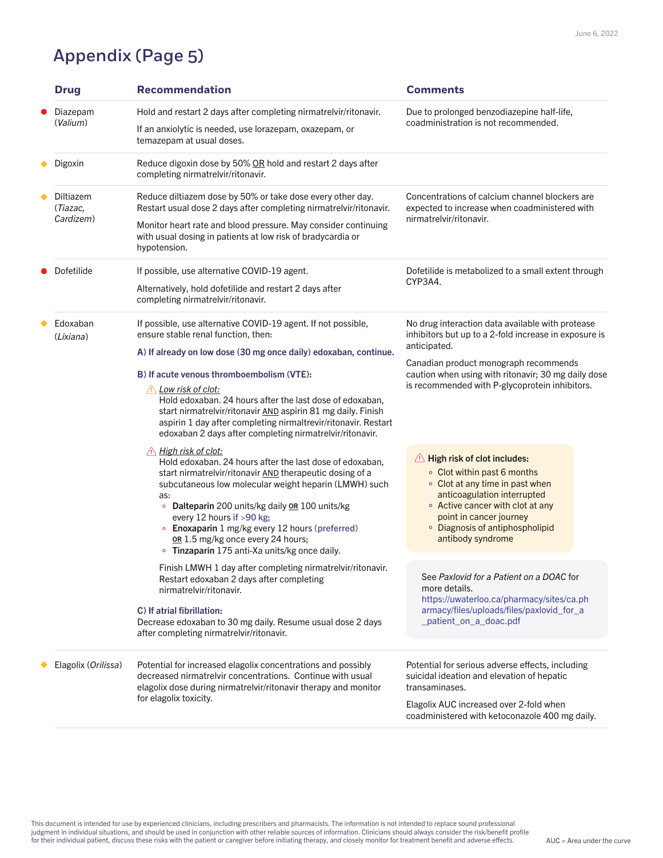## Appendix (Page 5)

Potential for increased elagolix concentrations and possibly decreased nirmatrelvir concentrations. Continue with usual elagolix dose during nirmatrelvir/ritonavir therapy and monitor for elagolix toxicity.

Potential for serious adverse effects, including suicidal ideation and elevation of hepatic transaminases.

This document is intended for use by experienced clinicians, including prescribers and pharmacists. The information is not intended to replace sound professional judgment in individual situations, and should be used in conjunction with other reliable sources of information. Clinicians should always consider the risk/benefit profile for their individual patient, discuss these risks with the patient or caregiver before initiating therapy, and closely monitor for treatment benefit and adverse effects.

Elagolix AUC increased over 2-fold when coadministered with ketoconazole 400 mg daily.

Elagolix (*Orilissa*)

| <b>Drug</b>                               | <b>Recommendation</b>                                                                                                                                                                                                                                                                                                                                                                                                                                                                                | <b>Comments</b>                                                                                                                                                                                                                                                             |
|-------------------------------------------|------------------------------------------------------------------------------------------------------------------------------------------------------------------------------------------------------------------------------------------------------------------------------------------------------------------------------------------------------------------------------------------------------------------------------------------------------------------------------------------------------|-----------------------------------------------------------------------------------------------------------------------------------------------------------------------------------------------------------------------------------------------------------------------------|
| Diazepam<br>$\bullet$<br>(Valium)         | Hold and restart 2 days after completing nirmatrely intritionavir.<br>If an anxiolytic is needed, use lorazepam, oxazepam, or<br>temazepam at usual doses.                                                                                                                                                                                                                                                                                                                                           | Due to prolonged benzodiazepine half-life,<br>coadministration is not recommended.                                                                                                                                                                                          |
| Digoxin                                   | Reduce digoxin dose by 50% OR hold and restart 2 days after<br>completing nirmatrelvir/ritonavir.                                                                                                                                                                                                                                                                                                                                                                                                    |                                                                                                                                                                                                                                                                             |
| <b>Diltiazem</b><br>(Tiazac,<br>Cardizem) | Reduce diltiazem dose by 50% or take dose every other day.<br>Restart usual dose 2 days after completing nirmatrelyir/ritonavir.<br>Monitor heart rate and blood pressure. May consider continuing<br>with usual dosing in patients at low risk of bradycardia or<br>hypotension.                                                                                                                                                                                                                    | Concentrations of calcium channel blockers are<br>expected to increase when coadministered with<br>nirmatrelvir/ritonavir.                                                                                                                                                  |
| Dofetilide                                | If possible, use alternative COVID-19 agent.<br>Alternatively, hold dofetilide and restart 2 days after<br>completing nirmatrelvir/ritonavir.                                                                                                                                                                                                                                                                                                                                                        | Dofetilide is metabolized to a small extent through<br>CYP3A4.                                                                                                                                                                                                              |
| Edoxaban<br>(Lixiana)                     | If possible, use alternative COVID-19 agent. If not possible,<br>ensure stable renal function, then:<br>A) If already on low dose (30 mg once daily) edoxaban, continue.<br>B) If acute venous thromboembolism (VTE):<br>Low risk of clot:<br>Hold edoxaban. 24 hours after the last dose of edoxaban,<br>start nirmatrelvir/ritonavir AND aspirin 81 mg daily. Finish<br>aspirin 1 day after completing nirmaltrevir/ritonavir. Restart<br>edoxaban 2 days after completing nirmatrelvir/ritonavir. | No drug interaction data available with protease<br>inhibitors but up to a 2-fold increase in exposure is<br>anticipated.<br>Canadian product monograph recommends<br>caution when using with ritonavir; 30 mg daily dose<br>is recommended with P-glycoprotein inhibitors. |
|                                           | <u>High risk of clot:</u><br>Hold edoxaban. 24 hours after the last dose of edoxaban,<br>start nirmatrelvir/ritonavir AND therapeutic dosing of a<br>subcutaneous low molecular weight heparin (LMWH) such                                                                                                                                                                                                                                                                                           | A High risk of clot includes:<br>• Clot within past 6 months<br>• Clot at any time in past when                                                                                                                                                                             |

- Active cancer with clot at any point in cancer journey
- Diagnosis of antiphospholipid antibody syndrome

#### C) If atrial fibrillation:

Decrease edoxaban to 30 mg daily*.* Resume usual dose 2 days after completing nirmatrelvir/ritonavir.

as:

- Dalteparin 200 units/kg daily OR 100 units/kg  $\bullet$ every 12 hours if >90 kg;
- Enoxaparin 1 mg/kg every 12 hours (preferred) or 1.5 mg/kg once every 24 hours;
- Tinzaparin 175 anti-Xa units/kg once daily.

Finish LMWH 1 day after completing nirmatrelvir/ritonavir. Restart edoxaban 2 days after completing nirmatrelvir/ritonavir.

anticoagulation interrupted

See *Paxlovid for a Patient on a DOAC* for more details. [https://uwaterloo.ca/pharmacy/sites/ca.ph](https://uwaterloo.ca/pharmacy/sites/ca.pharmacy/files/uploads/files/paxlovid_for_a_patient_on_a_doac.pdf) armacy/files/uploads/files/paxlovid\_for\_a \_patient\_on\_a\_doac.pdf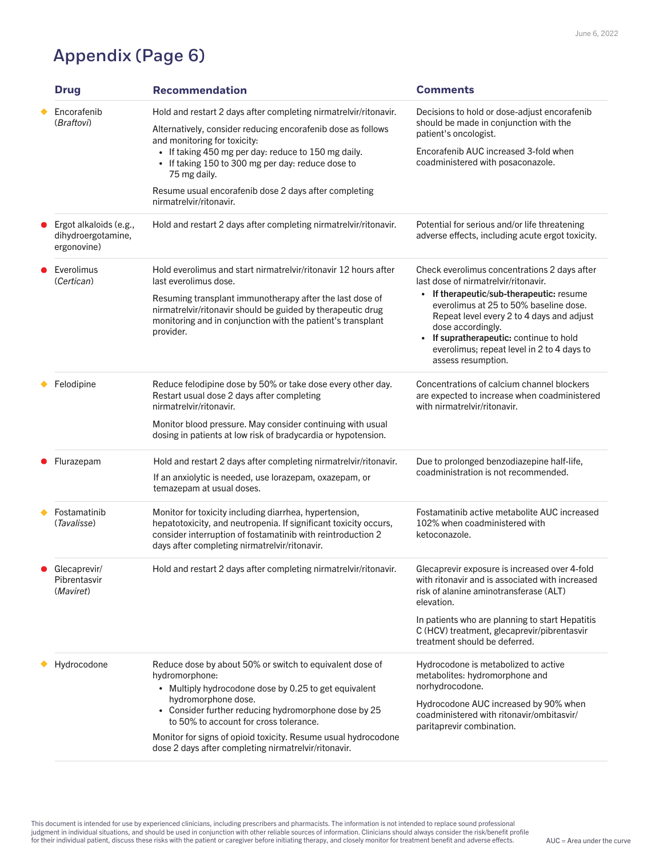### Appendix (Page 6)

|           | <b>Drug</b>                                                           | <b>Recommendation</b>                                                                                                                                                                                                                      | <b>Comments</b>                                                                                                                                                                                                                                                                           |  |
|-----------|-----------------------------------------------------------------------|--------------------------------------------------------------------------------------------------------------------------------------------------------------------------------------------------------------------------------------------|-------------------------------------------------------------------------------------------------------------------------------------------------------------------------------------------------------------------------------------------------------------------------------------------|--|
|           | Encorafenib                                                           | Hold and restart 2 days after completing nirmatrelvir/ritonavir.                                                                                                                                                                           | Decisions to hold or dose-adjust encorafenib                                                                                                                                                                                                                                              |  |
|           | <i>(Braftovi)</i>                                                     | Alternatively, consider reducing encorafenib dose as follows<br>and monitoring for toxicity:                                                                                                                                               | should be made in conjunction with the<br>patient's oncologist.                                                                                                                                                                                                                           |  |
|           |                                                                       | • If taking 450 mg per day: reduce to 150 mg daily.<br>• If taking 150 to 300 mg per day: reduce dose to<br>75 mg daily.                                                                                                                   | Encorafenib AUC increased 3-fold when<br>coadministered with posaconazole.                                                                                                                                                                                                                |  |
|           |                                                                       | Resume usual encorafenib dose 2 days after completing<br>nirmatrelvir/ritonavir.                                                                                                                                                           |                                                                                                                                                                                                                                                                                           |  |
|           | $\bullet$ Ergot alkaloids (e.g.,<br>dihydroergotamine,<br>ergonovine) | Hold and restart 2 days after completing nirmatrelvir/ritonavir.                                                                                                                                                                           | Potential for serious and/or life threatening<br>adverse effects, including acute ergot toxicity.                                                                                                                                                                                         |  |
| $\bullet$ | Everolimus<br>(Certican)                                              | Hold everolimus and start nirmatrelvir/ritonavir 12 hours after<br>last everolimus dose.                                                                                                                                                   | Check everolimus concentrations 2 days after<br>last dose of nirmatrelvir/ritonavir.                                                                                                                                                                                                      |  |
|           |                                                                       | Resuming transplant immunotherapy after the last dose of<br>nirmatrelvir/ritonavir should be guided by therapeutic drug<br>monitoring and in conjunction with the patient's transplant<br>provider.                                        | If therapeutic/sub-therapeutic: resume<br>$\bullet$<br>everolimus at 25 to 50% baseline dose.<br>Repeat level every 2 to 4 days and adjust<br>dose accordingly.<br>If supratherapeutic: continue to hold<br>$\bullet$<br>everolimus; repeat level in 2 to 4 days to<br>assess resumption. |  |
|           | Felodipine                                                            | Reduce felodipine dose by 50% or take dose every other day.<br>Restart usual dose 2 days after completing<br>nirmatrelvir/ritonavir.                                                                                                       | Concentrations of calcium channel blockers<br>are expected to increase when coadministered<br>with nirmatrelvir/ritonavir.                                                                                                                                                                |  |
|           |                                                                       | Monitor blood pressure. May consider continuing with usual<br>dosing in patients at low risk of bradycardia or hypotension.                                                                                                                |                                                                                                                                                                                                                                                                                           |  |
|           | Flurazepam                                                            | Hold and restart 2 days after completing nirmatrelvir/ritonavir.                                                                                                                                                                           | Due to prolonged benzodiazepine half-life,                                                                                                                                                                                                                                                |  |
|           |                                                                       | If an anxiolytic is needed, use lorazepam, oxazepam, or<br>temazepam at usual doses.                                                                                                                                                       | coadministration is not recommended.                                                                                                                                                                                                                                                      |  |
|           | <b>Fostamatinib</b><br>(Tavalisse)                                    | Monitor for toxicity including diarrhea, hypertension,<br>hepatotoxicity, and neutropenia. If significant toxicity occurs,<br>consider interruption of fostamatinib with reintroduction 2<br>days after completing nirmatrelvir/ritonavir. | Fostamatinib active metabolite AUC increased<br>102% when coadministered with<br>ketoconazole.                                                                                                                                                                                            |  |
|           | Glecaprevir/<br>Pibrentasvir<br>(Maviret)                             | Hold and restart 2 days after completing nirmatrelvir/ritonavir.                                                                                                                                                                           | Glecaprevir exposure is increased over 4-fold<br>with ritonavir and is associated with increased<br>risk of alanine aminotransferase (ALT)<br>elevation.                                                                                                                                  |  |
|           |                                                                       |                                                                                                                                                                                                                                            | In patients who are planning to start Hepatitis<br>C (HCV) treatment, glecaprevir/pibrentasvir<br>treatment should be deferred.                                                                                                                                                           |  |
|           | Hydrocodone                                                           | Reduce dose by about 50% or switch to equivalent dose of<br>hydromorphone:<br>Multiply hydrocodone dose by 0.25 to get equivalent                                                                                                          | Hydrocodone is metabolized to active<br>metabolites: hydromorphone and<br>norhydrocodone.                                                                                                                                                                                                 |  |
|           |                                                                       | hydromorphone dose.<br>• Consider further reducing hydromorphone dose by 25<br>to 50% to account for cross tolerance.                                                                                                                      | Hydrocodone AUC increased by 90% when<br>coadministered with ritonavir/ombitasvir/<br>paritaprevir combination.                                                                                                                                                                           |  |
|           |                                                                       | Monitor for signs of opioid toxicity. Resume usual hydrocodone<br>dose 2 days after completing nirmatrelvir/ritonavir.                                                                                                                     |                                                                                                                                                                                                                                                                                           |  |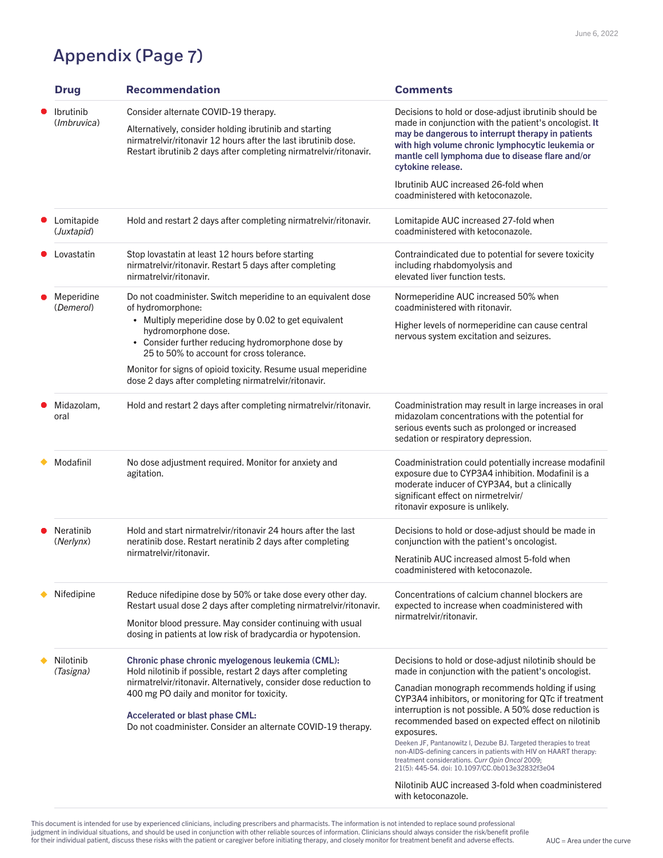This document is intended for use by experienced clinicians, including prescribers and pharmacists. The information is not intended to replace sound professional judgment in individual situations, and should be used in conjunction with other reliable sources of information. Clinicians should always consider the risk/benefit profile for their individual patient, discuss these risks with the patient or caregiver before initiating therapy, and closely monitor for treatment benefit and adverse effects.

| <b>Drug</b>                              | <b>Recommendation</b>                                                                                                                                                                                                                                                                                                                                                                       | <b>Comments</b>                                                                                                                                                                                                                                                                                                                                                                                                                                                                                                                                                                                                                                                             |
|------------------------------------------|---------------------------------------------------------------------------------------------------------------------------------------------------------------------------------------------------------------------------------------------------------------------------------------------------------------------------------------------------------------------------------------------|-----------------------------------------------------------------------------------------------------------------------------------------------------------------------------------------------------------------------------------------------------------------------------------------------------------------------------------------------------------------------------------------------------------------------------------------------------------------------------------------------------------------------------------------------------------------------------------------------------------------------------------------------------------------------------|
| <b>Ibrutinib</b><br>( <i>Imbruvica</i> ) | Consider alternate COVID-19 therapy.<br>Alternatively, consider holding ibrutinib and starting<br>nirmatrelvir/ritonavir 12 hours after the last ibrutinib dose.<br>Restart ibrutinib 2 days after completing nirmatrelvir/ritonavir.                                                                                                                                                       | Decisions to hold or dose-adjust ibrutinib should be<br>made in conjunction with the patient's oncologist. It<br>may be dangerous to interrupt therapy in patients<br>with high volume chronic lymphocytic leukemia or<br>mantle cell lymphoma due to disease flare and/or<br>cytokine release.                                                                                                                                                                                                                                                                                                                                                                             |
|                                          |                                                                                                                                                                                                                                                                                                                                                                                             | <b>Ibrutinib AUC increased 26-fold when</b><br>coadministered with ketoconazole.                                                                                                                                                                                                                                                                                                                                                                                                                                                                                                                                                                                            |
| Lomitapide<br>( <i>Juxtapid</i> )        | Hold and restart 2 days after completing nirmatrelvir/ritonavir.                                                                                                                                                                                                                                                                                                                            | Lomitapide AUC increased 27-fold when<br>coadministered with ketoconazole.                                                                                                                                                                                                                                                                                                                                                                                                                                                                                                                                                                                                  |
| Lovastatin                               | Stop lovastatin at least 12 hours before starting<br>nirmatrelvir/ritonavir. Restart 5 days after completing<br>nirmatrelvir/ritonavir.                                                                                                                                                                                                                                                     | Contraindicated due to potential for severe toxicity<br>including rhabdomyolysis and<br>elevated liver function tests.                                                                                                                                                                                                                                                                                                                                                                                                                                                                                                                                                      |
| Meperidine<br>(Demerol)                  | Do not coadminister. Switch meperidine to an equivalent dose<br>of hydromorphone:<br>• Multiply meperidine dose by 0.02 to get equivalent<br>hydromorphone dose.<br>• Consider further reducing hydromorphone dose by<br>25 to 50% to account for cross tolerance.<br>Monitor for signs of opioid toxicity. Resume usual meperidine<br>dose 2 days after completing nirmatrelvir/ritonavir. | Normeperidine AUC increased 50% when<br>coadministered with ritonavir.<br>Higher levels of normeperidine can cause central<br>nervous system excitation and seizures.                                                                                                                                                                                                                                                                                                                                                                                                                                                                                                       |
| Midazolam,<br>oral                       | Hold and restart 2 days after completing nirmatrelvir/ritonavir.                                                                                                                                                                                                                                                                                                                            | Coadministration may result in large increases in oral<br>midazolam concentrations with the potential for<br>serious events such as prolonged or increased<br>sedation or respiratory depression.                                                                                                                                                                                                                                                                                                                                                                                                                                                                           |
| Modafinil                                | No dose adjustment required. Monitor for anxiety and<br>agitation.                                                                                                                                                                                                                                                                                                                          | Coadministration could potentially increase modafinil<br>exposure due to CYP3A4 inhibition. Modafinil is a<br>moderate inducer of CYP3A4, but a clinically<br>significant effect on nirmetrelvir/<br>ritonavir exposure is unlikely.                                                                                                                                                                                                                                                                                                                                                                                                                                        |
| <b>Neratinib</b><br>(Nerlynx)            | Hold and start nirmatrelvir/ritonavir 24 hours after the last<br>neratinib dose. Restart neratinib 2 days after completing<br>nirmatrelvir/ritonavir.                                                                                                                                                                                                                                       | Decisions to hold or dose-adjust should be made in<br>conjunction with the patient's oncologist.<br>Neratinib AUC increased almost 5-fold when<br>coadministered with ketoconazole.                                                                                                                                                                                                                                                                                                                                                                                                                                                                                         |
| <b>Nifedipine</b>                        | Reduce nifedipine dose by 50% or take dose every other day.<br>Restart usual dose 2 days after completing nirmatrelvir/ritonavir.<br>Monitor blood pressure. May consider continuing with usual<br>dosing in patients at low risk of bradycardia or hypotension.                                                                                                                            | Concentrations of calcium channel blockers are<br>expected to increase when coadministered with<br>nirmatrelvir/ritonavir.                                                                                                                                                                                                                                                                                                                                                                                                                                                                                                                                                  |
| <b>Nilotinib</b><br>(Tasigna)            | Chronic phase chronic myelogenous leukemia (CML):<br>Hold nilotinib if possible, restart 2 days after completing<br>nirmatrelvir/ritonavir. Alternatively, consider dose reduction to<br>400 mg PO daily and monitor for toxicity.<br><b>Accelerated or blast phase CML:</b><br>Do not coadminister. Consider an alternate COVID-19 therapy.                                                | Decisions to hold or dose-adjust nilotinib should be<br>made in conjunction with the patient's oncologist.<br>Canadian monograph recommends holding if using<br>CYP3A4 inhibitors, or monitoring for QTc if treatment<br>interruption is not possible. A 50% dose reduction is<br>recommended based on expected effect on nilotinib<br>exposures.<br>Deeken JF, Pantanowitz I, Dezube BJ. Targeted therapies to treat<br>non-AIDS-defining cancers in patients with HIV on HAART therapy:<br>treatment considerations. Curr Opin Oncol 2009;<br>21(5): 445-54. doi: 10.1097/CC.0b013e32832f3e04<br>Nilotinib AUC increased 3-fold when coadministered<br>with ketoconazole. |

## Appendix (Page 7)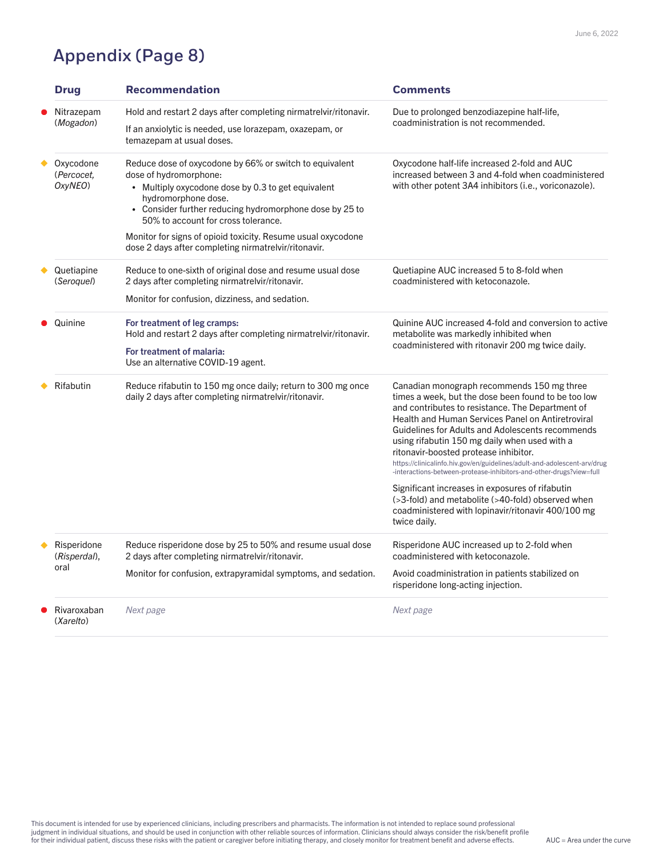## Appendix (Page 8)

| <b>Drug</b>                        | <b>Recommendation</b>                                                                                                                                                                                                                                                                                                                                                                             | <b>Comments</b>                                                                                                                                                                                                                                                                                                                                                                                                                                                                                                                                                                                                                                                                                  |
|------------------------------------|---------------------------------------------------------------------------------------------------------------------------------------------------------------------------------------------------------------------------------------------------------------------------------------------------------------------------------------------------------------------------------------------------|--------------------------------------------------------------------------------------------------------------------------------------------------------------------------------------------------------------------------------------------------------------------------------------------------------------------------------------------------------------------------------------------------------------------------------------------------------------------------------------------------------------------------------------------------------------------------------------------------------------------------------------------------------------------------------------------------|
| Nitrazepam<br>(Mogadon)            | Hold and restart 2 days after completing nirmatrelvir/ritonavir.<br>If an anxiolytic is needed, use lorazepam, oxazepam, or<br>temazepam at usual doses.                                                                                                                                                                                                                                          | Due to prolonged benzodiazepine half-life,<br>coadministration is not recommended.                                                                                                                                                                                                                                                                                                                                                                                                                                                                                                                                                                                                               |
| Oxycodone<br>(Percocet,<br>OxyNEO) | Reduce dose of oxycodone by 66% or switch to equivalent<br>dose of hydromorphone:<br>Multiply oxycodone dose by 0.3 to get equivalent<br>$\bullet$<br>hydromorphone dose.<br>Consider further reducing hydromorphone dose by 25 to<br>50% to account for cross tolerance.<br>Monitor for signs of opioid toxicity. Resume usual oxycodone<br>dose 2 days after completing nirmatrelvir/ritonavir. | Oxycodone half-life increased 2-fold and AUC<br>increased between 3 and 4-fold when coadministered<br>with other potent 3A4 inhibitors (i.e., voriconazole).                                                                                                                                                                                                                                                                                                                                                                                                                                                                                                                                     |
| Quetiapine<br>(Seroquel)           | Reduce to one-sixth of original dose and resume usual dose<br>2 days after completing nirmatrelvir/ritonavir.<br>Monitor for confusion, dizziness, and sedation.                                                                                                                                                                                                                                  | Quetiapine AUC increased 5 to 8-fold when<br>coadministered with ketoconazole.                                                                                                                                                                                                                                                                                                                                                                                                                                                                                                                                                                                                                   |
| Quinine                            | For treatment of leg cramps:<br>Hold and restart 2 days after completing nirmatrelvir/ritonavir.<br>For treatment of malaria:<br>Use an alternative COVID-19 agent.                                                                                                                                                                                                                               | Quinine AUC increased 4-fold and conversion to active<br>metabolite was markedly inhibited when<br>coadministered with ritonavir 200 mg twice daily.                                                                                                                                                                                                                                                                                                                                                                                                                                                                                                                                             |
| Rifabutin                          | Reduce rifabutin to 150 mg once daily; return to 300 mg once<br>daily 2 days after completing nirmatrelvir/ritonavir.                                                                                                                                                                                                                                                                             | Canadian monograph recommends 150 mg three<br>times a week, but the dose been found to be too low<br>and contributes to resistance. The Department of<br><b>Health and Human Services Panel on Antiretroviral</b><br>Guidelines for Adults and Adolescents recommends<br>using rifabutin 150 mg daily when used with a<br>ritonavir-boosted protease inhibitor.<br>https://clinicalinfo.hiv.gov/en/guidelines/adult-and-adolescent-arv/drug<br>-interactions-between-protease-inhibitors-and-other-drugs?view=full<br>Significant increases in exposures of rifabutin<br>(>3-fold) and metabolite (>40-fold) observed when<br>coadministered with lopinavir/ritonavir 400/100 mg<br>twice daily. |
| Risperidone<br>(Risperdal),        | Reduce risperidone dose by 25 to 50% and resume usual dose<br>2 days after completing nirmatrelvir/ritonavir.                                                                                                                                                                                                                                                                                     | Risperidone AUC increased up to 2-fold when<br>coadministered with ketoconazole.                                                                                                                                                                                                                                                                                                                                                                                                                                                                                                                                                                                                                 |
| oral                               | Monitor for confusion, extrapyramidal symptoms, and sedation.                                                                                                                                                                                                                                                                                                                                     | Avoid coadministration in patients stabilized on<br>risperidone long-acting injection.                                                                                                                                                                                                                                                                                                                                                                                                                                                                                                                                                                                                           |
| Rivaroxaban<br>(Xarelto)           | Next page                                                                                                                                                                                                                                                                                                                                                                                         | Next page                                                                                                                                                                                                                                                                                                                                                                                                                                                                                                                                                                                                                                                                                        |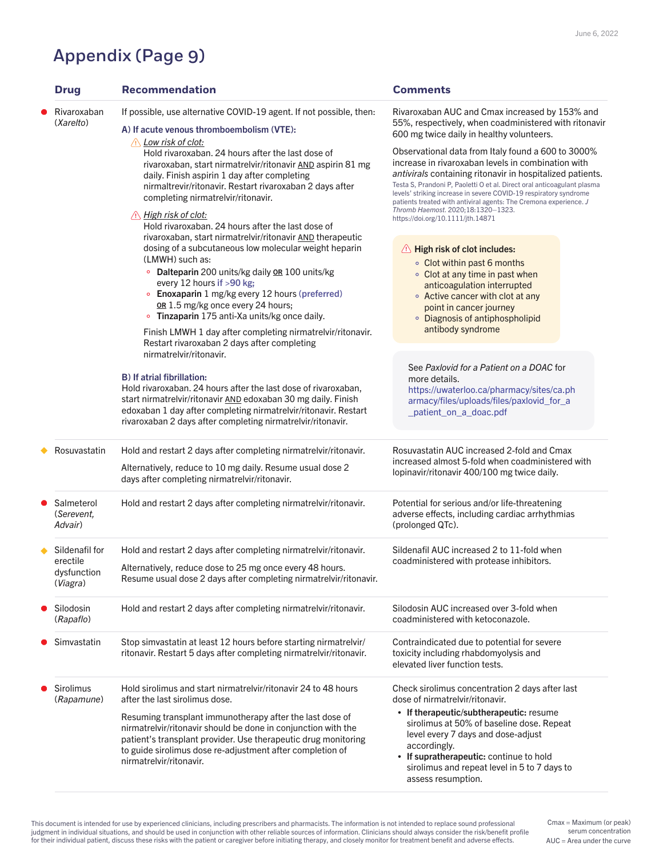## Appendix (Page 9)

This document is intended for use by experienced clinicians, including prescribers and pharmacists. The information is not intended to replace sound professional judgment in individual situations, and should be used in conjunction with other reliable sources of information. Clinicians should always consider the risk/benefit profile for their individual patient, discuss these risks with the patient or caregiver before initiating therapy, and closely monitor for treatment benefit and adverse effects.

| • Salmeterol<br>(Serevent,<br>Advair)                 | Hold and restart 2 days after completing nirmatrelvir/ritonavir.                                                                                                                                                                                                                                                                                                                        | Potential for serious and/or life-threatening<br>adverse effects, including cardiac arrhythmias<br>(prolonged QTc).                                                                                                                                                                                                                               |
|-------------------------------------------------------|-----------------------------------------------------------------------------------------------------------------------------------------------------------------------------------------------------------------------------------------------------------------------------------------------------------------------------------------------------------------------------------------|---------------------------------------------------------------------------------------------------------------------------------------------------------------------------------------------------------------------------------------------------------------------------------------------------------------------------------------------------|
| Sildenafil for<br>erectile<br>dysfunction<br>(Viagra) | Hold and restart 2 days after completing nirmatrelvir/ritonavir.<br>Alternatively, reduce dose to 25 mg once every 48 hours.<br>Resume usual dose 2 days after completing nirmatrelvir/ritonavir.                                                                                                                                                                                       | Sildenafil AUC increased 2 to 11-fold when<br>coadministered with protease inhibitors.                                                                                                                                                                                                                                                            |
| Silodosin<br>(Rapaflo)                                | Hold and restart 2 days after completing nirmatrelvir/ritonavir.                                                                                                                                                                                                                                                                                                                        | Silodosin AUC increased over 3-fold when<br>coadministered with ketoconazole.                                                                                                                                                                                                                                                                     |
| ● Simvastatin                                         | Stop simvastatin at least 12 hours before starting nirmatrelvir/<br>ritonavir. Restart 5 days after completing nirmatrelyir/ritonavir.                                                                                                                                                                                                                                                  | Contraindicated due to potential for severe<br>toxicity including rhabdomyolysis and<br>elevated liver function tests.                                                                                                                                                                                                                            |
| • Sirolimus<br>(Rapamune)                             | Hold sirolimus and start nirmatrelvir/ritonavir 24 to 48 hours<br>after the last sirolimus dose.<br>Resuming transplant immunotherapy after the last dose of<br>nirmatrelvir/ritonavir should be done in conjunction with the<br>patient's transplant provider. Use therapeutic drug monitoring<br>to guide sirolimus dose re-adjustment after completion of<br>nirmatrelvir/ritonavir. | Check sirolimus concentration 2 days after last<br>dose of nirmatrelvir/ritonavir.<br>• If therapeutic/subtherapeutic: resume<br>sirolimus at 50% of baseline dose. Repeat<br>level every 7 days and dose-adjust<br>accordingly.<br>• If supratherapeutic: continue to hold<br>sirolimus and repeat level in 5 to 7 days to<br>assess resumption. |

 $AUC = Area$  under the curve Cmax = Maximum (or peak) serum concentration

| <b>Drug</b>              | <b>Recommendation</b>                                                                                                                                                                                                                                                                                                                                                                                                                                                                                                                       | <b>Comments</b>                                                                                                                                                                                                                                                                                                                                                                                                                                                                                                                                                                                                                      |
|--------------------------|---------------------------------------------------------------------------------------------------------------------------------------------------------------------------------------------------------------------------------------------------------------------------------------------------------------------------------------------------------------------------------------------------------------------------------------------------------------------------------------------------------------------------------------------|--------------------------------------------------------------------------------------------------------------------------------------------------------------------------------------------------------------------------------------------------------------------------------------------------------------------------------------------------------------------------------------------------------------------------------------------------------------------------------------------------------------------------------------------------------------------------------------------------------------------------------------|
| Rivaroxaban<br>(Xarelto) | If possible, use alternative COVID-19 agent. If not possible, then:<br>A) If acute venous thromboembolism (VTE):<br>Low risk of clot:<br>$\backslash !$<br>Hold rivaroxaban. 24 hours after the last dose of<br>rivaroxaban, start nirmatrelvir/ritonavir AND aspirin 81 mg<br>daily. Finish aspirin 1 day after completing<br>nirmaltrevir/ritonavir. Restart rivaroxaban 2 days after<br>completing nirmatrelvir/ritonavir.<br><u>High risk of clot:</u><br>$/ \mathsf{l} \setminus$<br>Hold rivaroxaban, 24 hours after the last dose of | Rivaroxaban AUC and Cmax increased by 153% and<br>55%, respectively, when coadministered with ritonavir<br>600 mg twice daily in healthy volunteers.<br>Observational data from Italy found a 600 to 3000%<br>increase in rivaroxaban levels in combination with<br><i>antivirals</i> containing ritonavir in hospitalized patients.<br>Testa S, Prandoni P, Paoletti O et al. Direct oral anticoagulant plasma<br>levels' striking increase in severe COVID-19 respiratory syndrome<br>patients treated with antiviral agents: The Cremona experience. J<br>Thromb Haemost. 2020;18:1320-1323.<br>https://doi.org/10.1111/jth.14871 |
|                          | rivaroxaban, start nirmatrelvir/ritonavir AND therapeutic<br>dosing of a subcutaneous low molecular weight heparin<br>(LMWH) such as:<br><b>Dalteparin</b> 200 units/kg daily <b>OR</b> 100 units/kg<br>$\mathsf{o}$<br>every 12 hours if $>90$ kg;<br><b>Enoxaparin</b> 1 mg/kg every 12 hours (preferred)<br>OR 1.5 mg/kg once every 24 hours;<br>Tinzaparin 175 anti-Xa units/kg once daily.                                                                                                                                             | $\langle \cdot \rangle$ High risk of clot includes:<br>• Clot within past 6 months<br>• Clot at any time in past when<br>anticoagulation interrupted<br>Active cancer with clot at any<br>$\circ$<br>point in cancer journey<br>Diagnosis of antiphospholipid<br>$\bullet$                                                                                                                                                                                                                                                                                                                                                           |
|                          | Finish LMWH 1 day after completing nirmatrelvir/ritonavir.<br>Restart rivaroxaban 2 days after completing<br>nirmatrelvir/ritonavir.<br><b>B</b> ) If atrial fibrillation:<br>Hold rivaroxaban. 24 hours after the last dose of rivaroxaban,<br>start nirmatrelvir/ritonavir AND edoxaban 30 mg daily. Finish<br>edoxaban 1 day after completing nirmatrelvir/ritonavir. Restart<br>rivaroxaban 2 days after completing nirmatrelvir/ritonavir.                                                                                             | antibody syndrome<br>See Paxlovid for a Patient on a DOAC for<br>more details.<br>https://uwaterloo.ca/pharmacy/sites/ca.ph<br>armacy/files/uploads/files/paxlovid_for_a<br>_patient_on_a_doac.pdf                                                                                                                                                                                                                                                                                                                                                                                                                                   |
| Rosuvastatin             | Hold and restart 2 days after completing nirmatrelvir/ritonavir.                                                                                                                                                                                                                                                                                                                                                                                                                                                                            | Rosuvastatin AUC increased 2-fold and Cmax<br>increased almost 5-fold when coadministered with                                                                                                                                                                                                                                                                                                                                                                                                                                                                                                                                       |

Alternatively, reduce to 10 mg daily. Resume usual dose 2 days after completing nirmatrelvir/ritonavir.

increased almost 5-fold when coadministered with lopinavir/ritonavir 400/100 mg twice daily.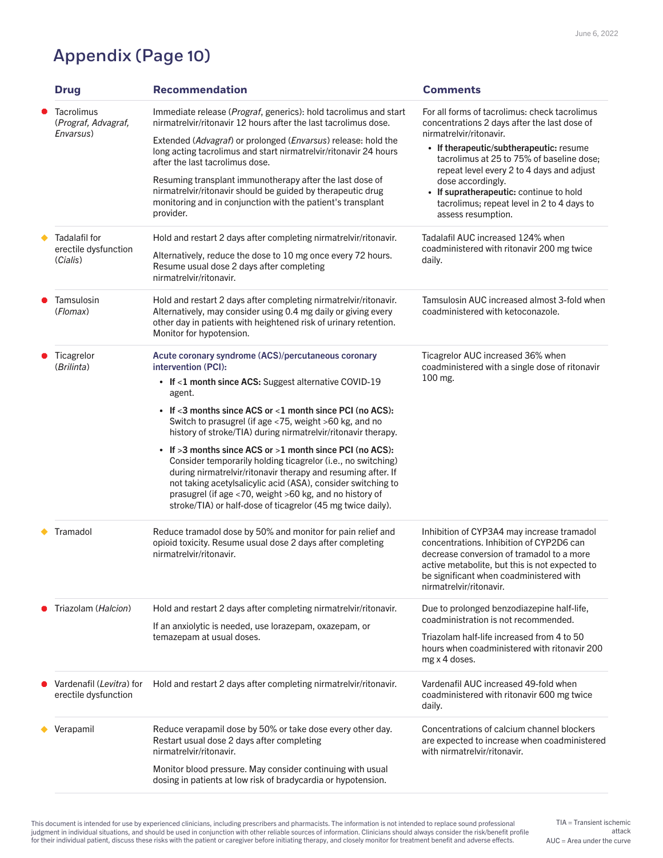This document is intended for use by experienced clinicians, including prescribers and pharmacists. The information is not intended to replace sound professional judgment in individual situations, and should be used in conjunction with other reliable sources of information. Clinicians should always consider the risk/benefit profile for their individual patient, discuss these risks with the patient or caregiver before initiating therapy, and closely monitor for treatment benefit and adverse effects. AUC = Area under the curve

| <b>Drug</b>                                              | <b>Recommendation</b>                                                                                                                                                                                                                                                                                                                                                                                                                                                                                                                                                                                                                                                                                                                                             | <b>Comments</b>                                                                                                                                                                                                                                                                                                                                                                                   |
|----------------------------------------------------------|-------------------------------------------------------------------------------------------------------------------------------------------------------------------------------------------------------------------------------------------------------------------------------------------------------------------------------------------------------------------------------------------------------------------------------------------------------------------------------------------------------------------------------------------------------------------------------------------------------------------------------------------------------------------------------------------------------------------------------------------------------------------|---------------------------------------------------------------------------------------------------------------------------------------------------------------------------------------------------------------------------------------------------------------------------------------------------------------------------------------------------------------------------------------------------|
| <b>Tacrolimus</b><br>(Prograf, Advagraf,<br>Envarsus)    | Immediate release ( <i>Prograf</i> , generics): hold tacrolimus and start<br>nirmatrelvir/ritonavir 12 hours after the last tacrolimus dose.<br>Extended (Advagraf) or prolonged ( <i>Envarsus</i> ) release: hold the<br>long acting tacrolimus and start nirmatrelvir/ritonavir 24 hours<br>after the last tacrolimus dose.<br>Resuming transplant immunotherapy after the last dose of<br>nirmatrelvir/ritonavir should be guided by therapeutic drug<br>monitoring and in conjunction with the patient's transplant<br>provider.                                                                                                                                                                                                                              | For all forms of tacrolimus: check tacrolimus<br>concentrations 2 days after the last dose of<br>nirmatrelvir/ritonavir.<br>• If therapeutic/subtherapeutic: resume<br>tacrolimus at 25 to 75% of baseline dose;<br>repeat level every 2 to 4 days and adjust<br>dose accordingly.<br>• If supratherapeutic: continue to hold<br>tacrolimus; repeat level in 2 to 4 days to<br>assess resumption. |
| <b>Tadalafil for</b><br>erectile dysfunction<br>(Cialis) | Hold and restart 2 days after completing nirmatrelvir/ritonavir.<br>Alternatively, reduce the dose to 10 mg once every 72 hours.<br>Resume usual dose 2 days after completing<br>nirmatrelvir/ritonavir.                                                                                                                                                                                                                                                                                                                                                                                                                                                                                                                                                          | Tadalafil AUC increased 124% when<br>coadministered with ritonavir 200 mg twice<br>daily.                                                                                                                                                                                                                                                                                                         |
| Tamsulosin<br>(Flomax)                                   | Hold and restart 2 days after completing nirmatrelvir/ritonavir.<br>Alternatively, may consider using 0.4 mg daily or giving every<br>other day in patients with heightened risk of urinary retention.<br>Monitor for hypotension.                                                                                                                                                                                                                                                                                                                                                                                                                                                                                                                                | Tamsulosin AUC increased almost 3-fold when<br>coadministered with ketoconazole.                                                                                                                                                                                                                                                                                                                  |
| Ticagrelor<br>(Brilinta)                                 | Acute coronary syndrome (ACS)/percutaneous coronary<br>intervention (PCI):<br>• If $<$ 1 month since ACS: Suggest alternative COVID-19<br>agent.<br>• If $<$ 3 months since ACS or $<$ 1 month since PCI (no ACS):<br>Switch to prasugrel (if age <75, weight >60 kg, and no<br>history of stroke/TIA) during nirmatrelvir/ritonavir therapy.<br>• If $>3$ months since ACS or $>1$ month since PCI (no ACS):<br>Consider temporarily holding ticagrelor (i.e., no switching)<br>during nirmatrelvir/ritonavir therapy and resuming after. If<br>not taking acetylsalicylic acid (ASA), consider switching to<br>prasugrel (if age $\langle 70,$ weight $\langle 60 \text{ kg},$ and no history of<br>stroke/TIA) or half-dose of ticagrelor (45 mg twice daily). | Ticagrelor AUC increased 36% when<br>coadministered with a single dose of ritonavir<br>100 mg.                                                                                                                                                                                                                                                                                                    |
| Tramadol                                                 | Reduce tramadol dose by 50% and monitor for pain relief and<br>opioid toxicity. Resume usual dose 2 days after completing<br>nirmatrelvir/ritonavir.                                                                                                                                                                                                                                                                                                                                                                                                                                                                                                                                                                                                              | Inhibition of CYP3A4 may increase tramadol<br>concentrations. Inhibition of CYP2D6 can<br>decrease conversion of tramadol to a more<br>active metabolite, but this is not expected to<br>be significant when coadministered with<br>nirmatrelvir/ritonavir.                                                                                                                                       |
| Triazolam ( <i>Halcion</i> )                             | Hold and restart 2 days after completing nirmatrelvir/ritonavir.<br>If an anxiolytic is needed, use lorazepam, oxazepam, or<br>temazepam at usual doses.                                                                                                                                                                                                                                                                                                                                                                                                                                                                                                                                                                                                          | Due to prolonged benzodiazepine half-life,<br>coadministration is not recommended.<br>Triazolam half-life increased from 4 to 50<br>hours when coadministered with ritonavir 200<br>mg x 4 doses.                                                                                                                                                                                                 |
| Vardenafil (Levitra) for<br>erectile dysfunction         | Hold and restart 2 days after completing nirmatrelvir/ritonavir.                                                                                                                                                                                                                                                                                                                                                                                                                                                                                                                                                                                                                                                                                                  | Vardenafil AUC increased 49-fold when<br>coadministered with ritonavir 600 mg twice<br>daily.                                                                                                                                                                                                                                                                                                     |
| Verapamil                                                | Reduce verapamil dose by 50% or take dose every other day.<br>Restart usual dose 2 days after completing<br>nirmatrelvir/ritonavir.<br>Monitor blood pressure. May consider continuing with usual<br>dosing in patients at low risk of bradycardia or hypotension.                                                                                                                                                                                                                                                                                                                                                                                                                                                                                                | Concentrations of calcium channel blockers<br>are expected to increase when coadministered<br>with nirmatrelvir/ritonavir.                                                                                                                                                                                                                                                                        |

TIA = Transient ischemic attack

## Appendix (Page 10)